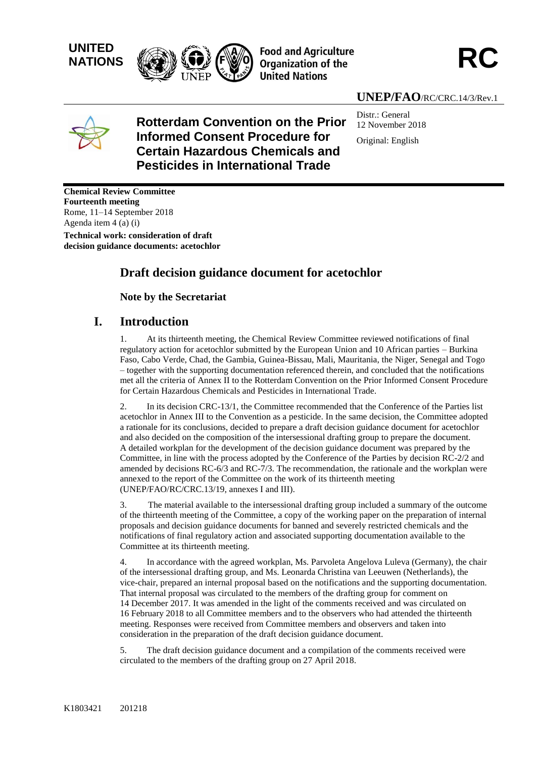

# **UNEP/FAO**/RC/CRC.14/3/Rev.1



### **Rotterdam Convention on the Prior Informed Consent Procedure for Certain Hazardous Chemicals and Pesticides in International Trade**

Distr.: General 12 November 2018 Original: English

**Chemical Review Committee Fourteenth meeting** Rome, 11–14 September 2018 Agenda item 4 (a) (i)

**Technical work: consideration of draft decision guidance documents: acetochlor**

## **Draft decision guidance document for acetochlor**

**Note by the Secretariat** 

### **I. Introduction**

1. At its thirteenth meeting, the Chemical Review Committee reviewed notifications of final regulatory action for acetochlor submitted by the European Union and 10 African parties – Burkina Faso, Cabo Verde, Chad, the Gambia, Guinea-Bissau, Mali, Mauritania, the Niger, Senegal and Togo – together with the supporting documentation referenced therein, and concluded that the notifications met all the criteria of Annex II to the Rotterdam Convention on the Prior Informed Consent Procedure for Certain Hazardous Chemicals and Pesticides in International Trade.

2. In its decision CRC-13/1, the Committee recommended that the Conference of the Parties list acetochlor in Annex III to the Convention as a pesticide. In the same decision, the Committee adopted a rationale for its conclusions, decided to prepare a draft decision guidance document for acetochlor and also decided on the composition of the intersessional drafting group to prepare the document. A detailed workplan for the development of the decision guidance document was prepared by the Committee, in line with the process adopted by the Conference of the Parties by decision RC-2/2 and amended by decisions RC-6/3 and RC-7/3. The recommendation, the rationale and the workplan were annexed to the report of the Committee on the work of its thirteenth meeting (UNEP/FAO/RC/CRC.13/19, annexes I and III).

3. The material available to the intersessional drafting group included a summary of the outcome of the thirteenth meeting of the Committee, a copy of the working paper on the preparation of internal proposals and decision guidance documents for banned and severely restricted chemicals and the notifications of final regulatory action and associated supporting documentation available to the Committee at its thirteenth meeting.

4. In accordance with the agreed workplan, Ms. Parvoleta Angelova Luleva (Germany), the chair of the intersessional drafting group, and Ms. Leonarda Christina van Leeuwen (Netherlands), the vice-chair, prepared an internal proposal based on the notifications and the supporting documentation. That internal proposal was circulated to the members of the drafting group for comment on 14 December 2017. It was amended in the light of the comments received and was circulated on 16 February 2018 to all Committee members and to the observers who had attended the thirteenth meeting. Responses were received from Committee members and observers and taken into consideration in the preparation of the draft decision guidance document.

5. The draft decision guidance document and a compilation of the comments received were circulated to the members of the drafting group on 27 April 2018.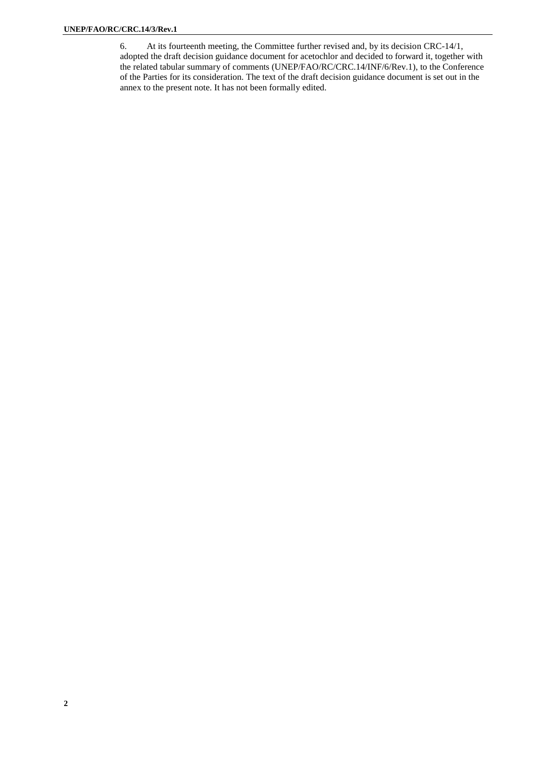6. At its fourteenth meeting, the Committee further revised and, by its decision CRC-14/1, adopted the draft decision guidance document for acetochlor and decided to forward it, together with the related tabular summary of comments (UNEP/FAO/RC/CRC.14/INF/6/Rev.1), to the Conference of the Parties for its consideration. The text of the draft decision guidance document is set out in the annex to the present note. It has not been formally edited.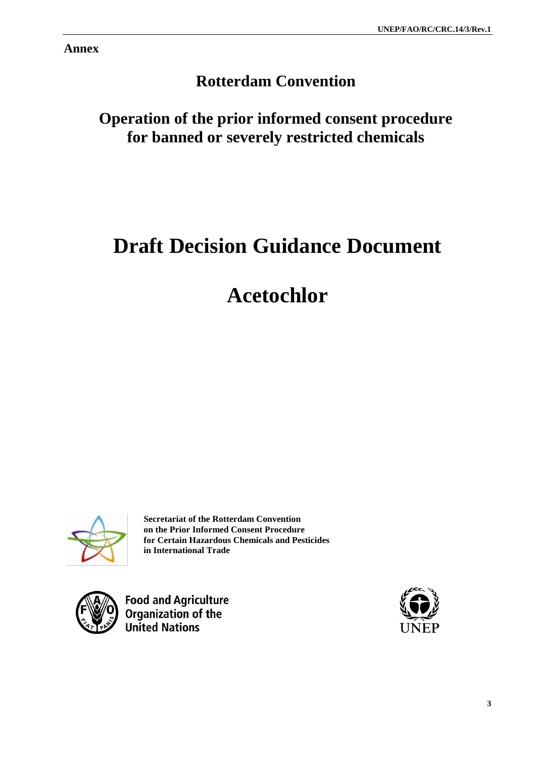**Annex**

# **Rotterdam Convention**

## **Operation of the prior informed consent procedure for banned or severely restricted chemicals**

# **Draft Decision Guidance Document**

# **Acetochlor**



**Secretariat of the Rotterdam Convention on the Prior Informed Consent Procedure for Certain Hazardous Chemicals and Pesticides in International Trade**



**Food and Agriculture** Organization of the **United Nations** 

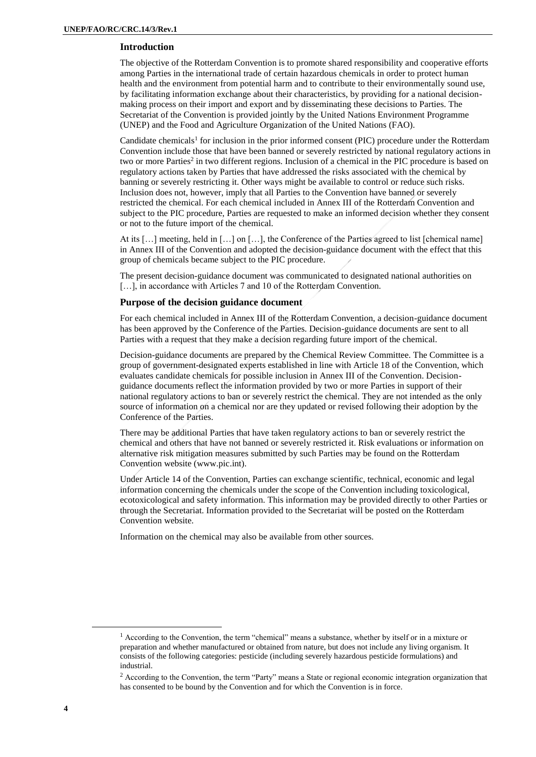#### **Introduction**

The objective of the Rotterdam Convention is to promote shared responsibility and cooperative efforts among Parties in the international trade of certain hazardous chemicals in order to protect human health and the environment from potential harm and to contribute to their environmentally sound use, by facilitating information exchange about their characteristics, by providing for a national decisionmaking process on their import and export and by disseminating these decisions to Parties. The Secretariat of the Convention is provided jointly by the United Nations Environment Programme (UNEP) and the Food and Agriculture Organization of the United Nations (FAO).

Candidate chemicals<sup>1</sup> for inclusion in the prior informed consent (PIC) procedure under the Rotterdam Convention include those that have been banned or severely restricted by national regulatory actions in two or more Parties<sup>2</sup> in two different regions. Inclusion of a chemical in the PIC procedure is based on regulatory actions taken by Parties that have addressed the risks associated with the chemical by banning or severely restricting it. Other ways might be available to control or reduce such risks. Inclusion does not, however, imply that all Parties to the Convention have banned or severely restricted the chemical. For each chemical included in Annex III of the Rotterdam Convention and subject to the PIC procedure, Parties are requested to make an informed decision whether they consent or not to the future import of the chemical.

At its […] meeting, held in […] on […], the Conference of the Parties agreed to list [chemical name] in Annex III of the Convention and adopted the decision-guidance document with the effect that this group of chemicals became subject to the PIC procedure.

The present decision-guidance document was communicated to designated national authorities on [...], in accordance with Articles 7 and 10 of the Rotterdam Convention.

#### **Purpose of the decision guidance document**

For each chemical included in Annex III of the Rotterdam Convention, a decision-guidance document has been approved by the Conference of the Parties. Decision-guidance documents are sent to all Parties with a request that they make a decision regarding future import of the chemical.

Decision-guidance documents are prepared by the Chemical Review Committee. The Committee is a group of government-designated experts established in line with Article 18 of the Convention, which evaluates candidate chemicals for possible inclusion in Annex III of the Convention. Decisionguidance documents reflect the information provided by two or more Parties in support of their national regulatory actions to ban or severely restrict the chemical. They are not intended as the only source of information on a chemical nor are they updated or revised following their adoption by the Conference of the Parties.

There may be additional Parties that have taken regulatory actions to ban or severely restrict the chemical and others that have not banned or severely restricted it. Risk evaluations or information on alternative risk mitigation measures submitted by such Parties may be found on the Rotterdam Convention website (www.pic.int).

Under Article 14 of the Convention, Parties can exchange scientific, technical, economic and legal information concerning the chemicals under the scope of the Convention including toxicological, ecotoxicological and safety information. This information may be provided directly to other Parties or through the Secretariat. Information provided to the Secretariat will be posted on the Rotterdam Convention website.

Information on the chemical may also be available from other sources.

 $\overline{\phantom{a}}$ 

<sup>1</sup> According to the Convention, the term "chemical" means a substance, whether by itself or in a mixture or preparation and whether manufactured or obtained from nature, but does not include any living organism. It consists of the following categories: pesticide (including severely hazardous pesticide formulations) and industrial.

<sup>&</sup>lt;sup>2</sup> According to the Convention, the term "Party" means a State or regional economic integration organization that has consented to be bound by the Convention and for which the Convention is in force.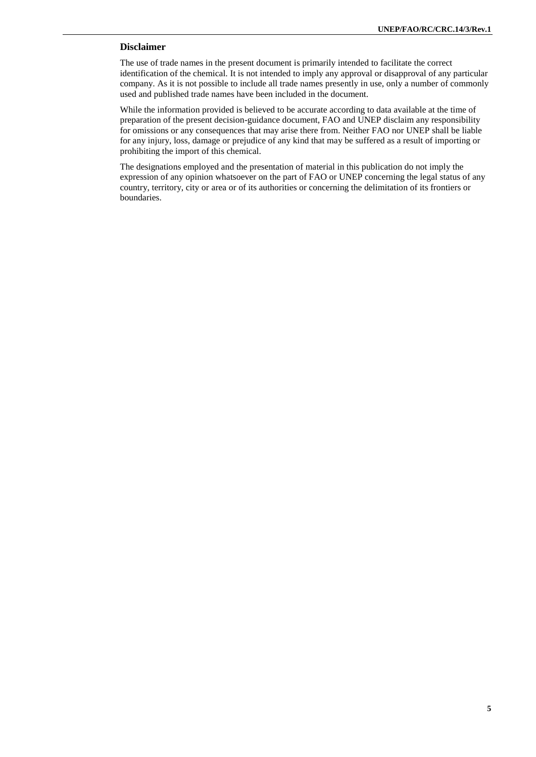#### **Disclaimer**

The use of trade names in the present document is primarily intended to facilitate the correct identification of the chemical. It is not intended to imply any approval or disapproval of any particular company. As it is not possible to include all trade names presently in use, only a number of commonly used and published trade names have been included in the document.

While the information provided is believed to be accurate according to data available at the time of preparation of the present decision-guidance document, FAO and UNEP disclaim any responsibility for omissions or any consequences that may arise there from. Neither FAO nor UNEP shall be liable for any injury, loss, damage or prejudice of any kind that may be suffered as a result of importing or prohibiting the import of this chemical.

The designations employed and the presentation of material in this publication do not imply the expression of any opinion whatsoever on the part of FAO or UNEP concerning the legal status of any country, territory, city or area or of its authorities or concerning the delimitation of its frontiers or boundaries.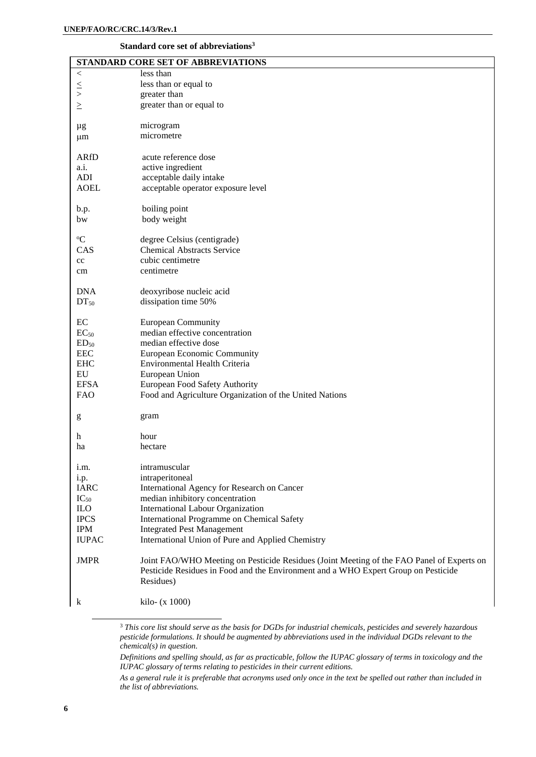#### <span id="page-5-0"></span>**Standard core set of abbreviations<sup>3</sup>**

|                  | STANDARD CORE SET OF ABBREVIATIONS                                                        |
|------------------|-------------------------------------------------------------------------------------------|
| $<\,$            | less than                                                                                 |
|                  | less than or equal to                                                                     |
| $\le$            | greater than                                                                              |
| $\geq$           | greater than or equal to                                                                  |
|                  |                                                                                           |
| μg               | microgram                                                                                 |
| $\mu$ m          | micrometre                                                                                |
|                  |                                                                                           |
| <b>ARfD</b>      | acute reference dose                                                                      |
| a.i.             | active ingredient                                                                         |
| <b>ADI</b>       | acceptable daily intake                                                                   |
| <b>AOEL</b>      | acceptable operator exposure level                                                        |
|                  |                                                                                           |
| b.p.             | boiling point                                                                             |
| bw               | body weight                                                                               |
|                  |                                                                                           |
| $\mathrm{^{o}C}$ | degree Celsius (centigrade)                                                               |
| CAS              | <b>Chemical Abstracts Service</b>                                                         |
| cc               | cubic centimetre                                                                          |
| cm               | centimetre                                                                                |
|                  |                                                                                           |
| <b>DNA</b>       | deoxyribose nucleic acid                                                                  |
| $DT_{50}$        | dissipation time 50%                                                                      |
|                  |                                                                                           |
| EC               | <b>European Community</b>                                                                 |
| $EC_{50}$        | median effective concentration                                                            |
| ED <sub>50</sub> | median effective dose                                                                     |
| <b>EEC</b>       | <b>European Economic Community</b>                                                        |
| <b>EHC</b>       | Environmental Health Criteria                                                             |
| ${\rm EU}$       | European Union                                                                            |
| <b>EFSA</b>      | European Food Safety Authority                                                            |
| <b>FAO</b>       | Food and Agriculture Organization of the United Nations                                   |
|                  |                                                                                           |
| g                | gram                                                                                      |
|                  |                                                                                           |
| h                | hour                                                                                      |
| ha               | hectare                                                                                   |
|                  |                                                                                           |
| i.m.             | intramuscular                                                                             |
| i.p.             | intraperitoneal                                                                           |
| <b>IARC</b>      | International Agency for Research on Cancer                                               |
| $IC_{50}$        | median inhibitory concentration                                                           |
| $_{\rm ILO}$     | International Labour Organization                                                         |
| <b>IPCS</b>      | International Programme on Chemical Safety                                                |
| <b>IPM</b>       | <b>Integrated Pest Management</b>                                                         |
| <b>IUPAC</b>     | International Union of Pure and Applied Chemistry                                         |
| <b>JMPR</b>      | Joint FAO/WHO Meeting on Pesticide Residues (Joint Meeting of the FAO Panel of Experts on |
|                  | Pesticide Residues in Food and the Environment and a WHO Expert Group on Pesticide        |
|                  | Residues)                                                                                 |
|                  |                                                                                           |
| k                | kilo- $(x 1000)$                                                                          |
|                  |                                                                                           |
|                  |                                                                                           |

[<sup>3</sup>](#page-5-0) *This core list should serve as the basis for DGDs for industrial chemicals, pesticides and severely hazardous pesticide formulations. It should be augmented by abbreviations used in the individual DGDs relevant to the chemical(s) in question.*

*Definitions and spelling should, as far as practicable, follow the IUPAC glossary of terms in toxicology and the IUPAC glossary of terms relating to pesticides in their current editions.*

*As a general rule it is preferable that acronyms used only once in the text be spelled out rather than included in the list of abbreviations.*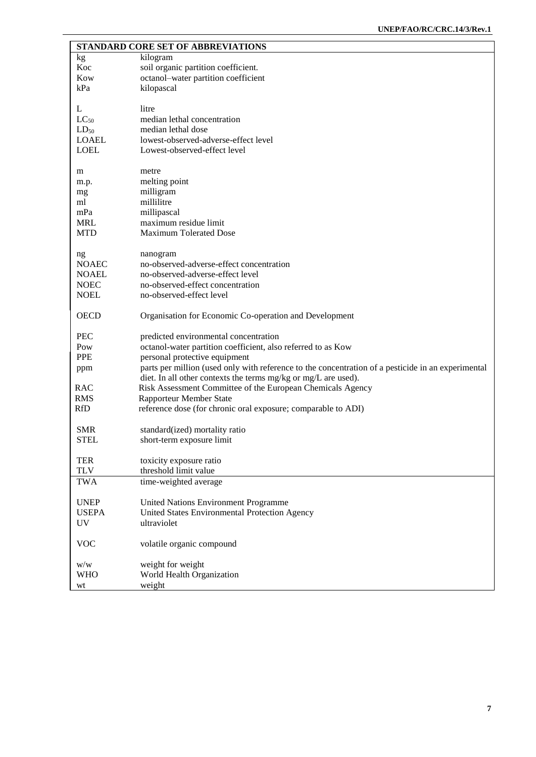|              | STANDARD CORE SET OF ABBREVIATIONS                                                                 |
|--------------|----------------------------------------------------------------------------------------------------|
| kg           | kilogram                                                                                           |
| Koc          | soil organic partition coefficient.                                                                |
| Kow          | octanol-water partition coefficient                                                                |
| kPa          | kilopascal                                                                                         |
|              |                                                                                                    |
| L            | litre                                                                                              |
| $LC_{50}$    | median lethal concentration                                                                        |
| $LD_{50}$    | median lethal dose                                                                                 |
| <b>LOAEL</b> | lowest-observed-adverse-effect level                                                               |
| <b>LOEL</b>  | Lowest-observed-effect level                                                                       |
|              |                                                                                                    |
| m            | metre                                                                                              |
| m.p.         | melting point                                                                                      |
| mg           | milligram                                                                                          |
| ml           | millilitre                                                                                         |
| mPa          | millipascal                                                                                        |
| <b>MRL</b>   | maximum residue limit                                                                              |
| <b>MTD</b>   | <b>Maximum Tolerated Dose</b>                                                                      |
|              |                                                                                                    |
| ng           | nanogram                                                                                           |
| <b>NOAEC</b> | no-observed-adverse-effect concentration                                                           |
| <b>NOAEL</b> | no-observed-adverse-effect level                                                                   |
| <b>NOEC</b>  | no-observed-effect concentration                                                                   |
| <b>NOEL</b>  | no-observed-effect level                                                                           |
|              |                                                                                                    |
| <b>OECD</b>  | Organisation for Economic Co-operation and Development                                             |
| <b>PEC</b>   |                                                                                                    |
|              | predicted environmental concentration                                                              |
| Pow          | octanol-water partition coefficient, also referred to as Kow                                       |
| <b>PPE</b>   | personal protective equipment                                                                      |
| ppm          | parts per million (used only with reference to the concentration of a pesticide in an experimental |
|              | diet. In all other contexts the terms mg/kg or mg/L are used).                                     |
| RAC          | Risk Assessment Committee of the European Chemicals Agency                                         |
| <b>RMS</b>   | <b>Rapporteur Member State</b>                                                                     |
| <b>RfD</b>   | reference dose (for chronic oral exposure; comparable to ADI)                                      |
| <b>SMR</b>   |                                                                                                    |
| <b>STEL</b>  | standard(ized) mortality ratio                                                                     |
|              | short-term exposure limit                                                                          |
| <b>TER</b>   | toxicity exposure ratio                                                                            |
| <b>TLV</b>   | threshold limit value                                                                              |
| <b>TWA</b>   | time-weighted average                                                                              |
|              |                                                                                                    |
| <b>UNEP</b>  | <b>United Nations Environment Programme</b>                                                        |
| <b>USEPA</b> | United States Environmental Protection Agency                                                      |
| <b>UV</b>    | ultraviolet                                                                                        |
|              |                                                                                                    |
| <b>VOC</b>   | volatile organic compound                                                                          |
|              |                                                                                                    |
| W/W          | weight for weight                                                                                  |
| <b>WHO</b>   | World Health Organization                                                                          |
| wt           | weight                                                                                             |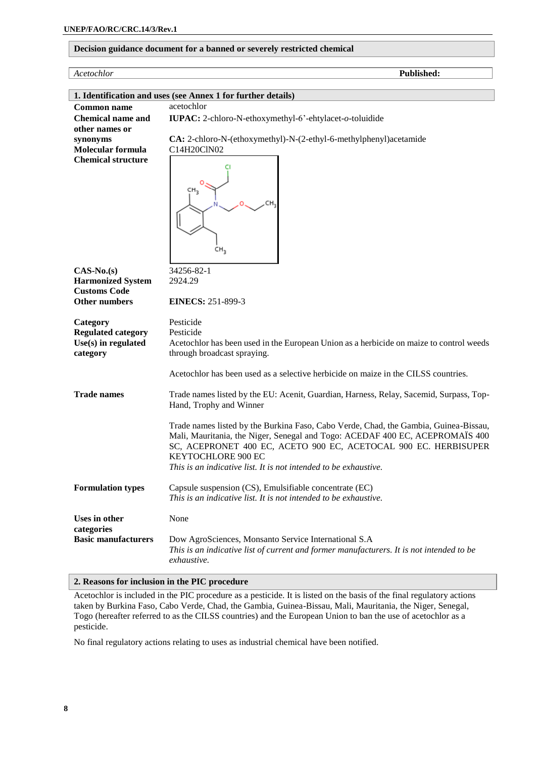#### **Decision guidance document for a banned or severely restricted chemical**

| Acetochlor                                                   | Published:                                                                               |  |  |
|--------------------------------------------------------------|------------------------------------------------------------------------------------------|--|--|
|                                                              |                                                                                          |  |  |
| 1. Identification and uses (see Annex 1 for further details) |                                                                                          |  |  |
| <b>Common name</b>                                           | acetochlor                                                                               |  |  |
| <b>Chemical name and</b><br>other names or                   | IUPAC: 2-chloro-N-ethoxymethyl-6'-ehtylacet-o-toluidide                                  |  |  |
| synonyms                                                     | CA: 2-chloro-N-(ethoxymethyl)-N-(2-ethyl-6-methylphenyl)acetamide                        |  |  |
| Molecular formula                                            | C14H20ClN02                                                                              |  |  |
| <b>Chemical structure</b>                                    |                                                                                          |  |  |
|                                                              |                                                                                          |  |  |
|                                                              | CH <sub>3</sub>                                                                          |  |  |
|                                                              |                                                                                          |  |  |
|                                                              |                                                                                          |  |  |
|                                                              |                                                                                          |  |  |
|                                                              |                                                                                          |  |  |
|                                                              |                                                                                          |  |  |
|                                                              | CH <sub>3</sub>                                                                          |  |  |
| $CAS-No.(s)$                                                 | 34256-82-1                                                                               |  |  |
| <b>Harmonized System</b>                                     | 2924.29                                                                                  |  |  |
| <b>Customs Code</b>                                          |                                                                                          |  |  |
| Other numbers                                                | <b>EINECS: 251-899-3</b>                                                                 |  |  |
|                                                              | Pesticide                                                                                |  |  |
| Category<br><b>Regulated category</b>                        | Pesticide                                                                                |  |  |
| $Use(s)$ in regulated                                        | Acetochlor has been used in the European Union as a herbicide on maize to control weeds  |  |  |
| category                                                     | through broadcast spraying.                                                              |  |  |
|                                                              |                                                                                          |  |  |
|                                                              | Acetochlor has been used as a selective herbicide on maize in the CILSS countries.       |  |  |
| <b>Trade names</b>                                           | Trade names listed by the EU: Acenit, Guardian, Harness, Relay, Sacemid, Surpass, Top-   |  |  |
|                                                              | Hand, Trophy and Winner                                                                  |  |  |
|                                                              | Trade names listed by the Burkina Faso, Cabo Verde, Chad, the Gambia, Guinea-Bissau,     |  |  |
|                                                              | Mali, Mauritania, the Niger, Senegal and Togo: ACEDAF 400 EC, ACEPROMAÏS 400             |  |  |
|                                                              | SC, ACEPRONET 400 EC, ACETO 900 EC, ACETOCAL 900 EC. HERBISUPER                          |  |  |
|                                                              | <b>KEYTOCHLORE 900 EC</b>                                                                |  |  |
|                                                              | This is an indicative list. It is not intended to be exhaustive.                         |  |  |
| <b>Formulation types</b>                                     | Capsule suspension (CS), Emulsifiable concentrate (EC)                                   |  |  |
|                                                              | This is an indicative list. It is not intended to be exhaustive.                         |  |  |
|                                                              |                                                                                          |  |  |
| <b>Uses in other</b><br>categories                           | None                                                                                     |  |  |
| <b>Basic manufacturers</b>                                   | Dow AgroSciences, Monsanto Service International S.A                                     |  |  |
|                                                              | This is an indicative list of current and former manufacturers. It is not intended to be |  |  |
|                                                              | exhaustive.                                                                              |  |  |

#### **2. Reasons for inclusion in the PIC procedure**

Acetochlor is included in the PIC procedure as a pesticide. It is listed on the basis of the final regulatory actions taken by Burkina Faso, Cabo Verde, Chad, the Gambia, Guinea-Bissau, Mali, Mauritania, the Niger, Senegal, Togo (hereafter referred to as the CILSS countries) and the European Union to ban the use of acetochlor as a pesticide.

No final regulatory actions relating to uses as industrial chemical have been notified.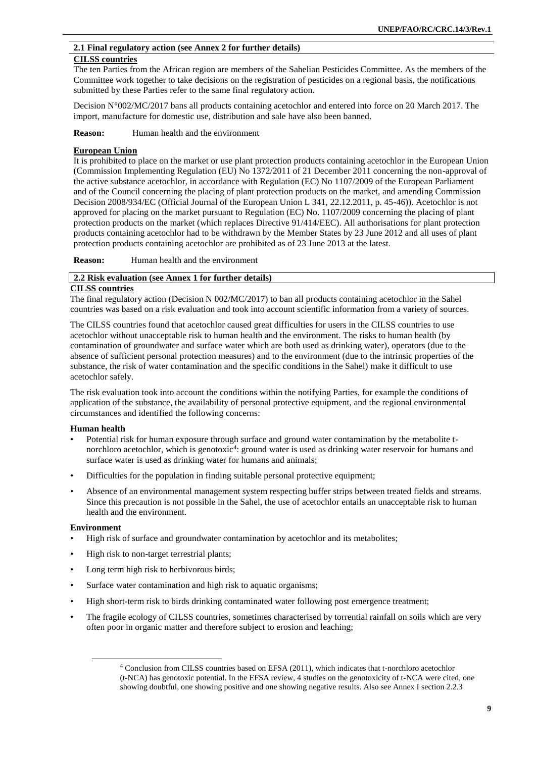#### **2.1 Final regulatory action (see Annex 2 for further details)**

#### **CILSS countries**

The ten Parties from the African region are members of the Sahelian Pesticides Committee. As the members of the Committee work together to take decisions on the registration of pesticides on a regional basis, the notifications submitted by these Parties refer to the same final regulatory action.

Decision N°002/MC/2017 bans all products containing acetochlor and entered into force on 20 March 2017. The import, manufacture for domestic use, distribution and sale have also been banned.

**Reason:** Human health and the environment

#### **European Union**

It is prohibited to place on the market or use plant protection products containing acetochlor in the European Union (Commission Implementing Regulation (EU) No 1372/2011 of 21 December 2011 concerning the non-approval of the active substance acetochlor, in accordance with Regulation (EC) No 1107/2009 of the European Parliament and of the Council concerning the placing of plant protection products on the market, and amending Commission Decision 2008/934/EC (Official Journal of the European Union L 341, 22.12.2011, p. 45-46)). Acetochlor is not approved for placing on the market pursuant to Regulation (EC) No. 1107/2009 concerning the placing of plant protection products on the market (which replaces Directive 91/414/EEC). All authorisations for plant protection products containing acetochlor had to be withdrawn by the Member States by 23 June 2012 and all uses of plant protection products containing acetochlor are prohibited as of 23 June 2013 at the latest.

**Reason:** Human health and the environment

#### **2.2 Risk evaluation (see Annex 1 for further details)**

#### **CILSS countries**

The final regulatory action (Decision N 002/MC/2017) to ban all products containing acetochlor in the Sahel countries was based on a risk evaluation and took into account scientific information from a variety of sources.

The CILSS countries found that acetochlor caused great difficulties for users in the CILSS countries to use acetochlor without unacceptable risk to human health and the environment. The risks to human health (by contamination of groundwater and surface water which are both used as drinking water), operators (due to the absence of sufficient personal protection measures) and to the environment (due to the intrinsic properties of the substance, the risk of water contamination and the specific conditions in the Sahel) make it difficult to use acetochlor safely.

The risk evaluation took into account the conditions within the notifying Parties, for example the conditions of application of the substance, the availability of personal protective equipment, and the regional environmental circumstances and identified the following concerns:

#### **Human health**

- Potential risk for human exposure through surface and ground water contamination by the metabolite tnorchloro acetochlor, which is genotoxic<sup>4</sup>: ground water is used as drinking water reservoir for humans and surface water is used as drinking water for humans and animals;
- Difficulties for the population in finding suitable personal protective equipment;
- Absence of an environmental management system respecting buffer strips between treated fields and streams. Since this precaution is not possible in the Sahel, the use of acetochlor entails an unacceptable risk to human health and the environment.

#### **Environment**

 $\overline{\phantom{a}}$ 

- High risk of surface and groundwater contamination by acetochlor and its metabolites;
- High risk to non-target terrestrial plants;
- Long term high risk to herbivorous birds;
- Surface water contamination and high risk to aquatic organisms;
- High short-term risk to birds drinking contaminated water following post emergence treatment;
- The fragile ecology of CILSS countries, sometimes characterised by torrential rainfall on soils which are very often poor in organic matter and therefore subject to erosion and leaching;

<sup>4</sup> Conclusion from CILSS countries based on EFSA (2011), which indicates that t-norchloro acetochlor (t-NCA) has genotoxic potential. In the EFSA review, 4 studies on the genotoxicity of t-NCA were cited, one showing doubtful, one showing positive and one showing negative results. Also see Annex I section 2.2.3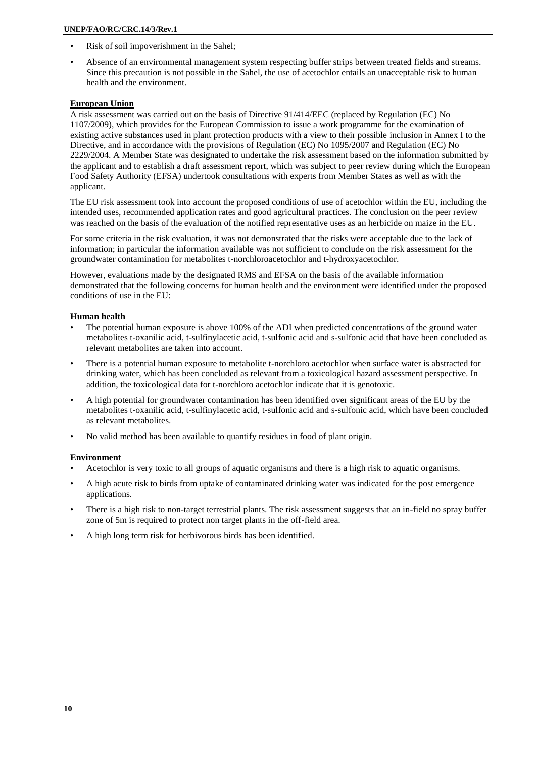- Risk of soil impoverishment in the Sahel;
- Absence of an environmental management system respecting buffer strips between treated fields and streams. Since this precaution is not possible in the Sahel, the use of acetochlor entails an unacceptable risk to human health and the environment.

#### **European Union**

A risk assessment was carried out on the basis of Directive 91/414/EEC (replaced by Regulation (EC) No 1107/2009), which provides for the European Commission to issue a work programme for the examination of existing active substances used in plant protection products with a view to their possible inclusion in Annex I to the Directive, and in accordance with the provisions of Regulation (EC) No 1095/2007 and Regulation (EC) No 2229/2004. A Member State was designated to undertake the risk assessment based on the information submitted by the applicant and to establish a draft assessment report, which was subject to peer review during which the European Food Safety Authority (EFSA) undertook consultations with experts from Member States as well as with the applicant.

The EU risk assessment took into account the proposed conditions of use of acetochlor within the EU, including the intended uses, recommended application rates and good agricultural practices. The conclusion on the peer review was reached on the basis of the evaluation of the notified representative uses as an herbicide on maize in the EU.

For some criteria in the risk evaluation, it was not demonstrated that the risks were acceptable due to the lack of information; in particular the information available was not sufficient to conclude on the risk assessment for the groundwater contamination for metabolites t-norchloroacetochlor and t-hydroxyacetochlor.

However, evaluations made by the designated RMS and EFSA on the basis of the available information demonstrated that the following concerns for human health and the environment were identified under the proposed conditions of use in the EU:

#### **Human health**

- The potential human exposure is above 100% of the ADI when predicted concentrations of the ground water metabolites t-oxanilic acid, t-sulfinylacetic acid, t-sulfonic acid and s-sulfonic acid that have been concluded as relevant metabolites are taken into account.
- There is a potential human exposure to metabolite t-norchloro acetochlor when surface water is abstracted for drinking water, which has been concluded as relevant from a toxicological hazard assessment perspective. In addition, the toxicological data for t-norchloro acetochlor indicate that it is genotoxic.
- A high potential for groundwater contamination has been identified over significant areas of the EU by the metabolites t-oxanilic acid, t-sulfinylacetic acid, t-sulfonic acid and s-sulfonic acid, which have been concluded as relevant metabolites.
- No valid method has been available to quantify residues in food of plant origin.

#### **Environment**

- Acetochlor is very toxic to all groups of aquatic organisms and there is a high risk to aquatic organisms.
- A high acute risk to birds from uptake of contaminated drinking water was indicated for the post emergence applications.
- There is a high risk to non-target terrestrial plants. The risk assessment suggests that an in-field no spray buffer zone of 5m is required to protect non target plants in the off-field area.
- A high long term risk for herbivorous birds has been identified.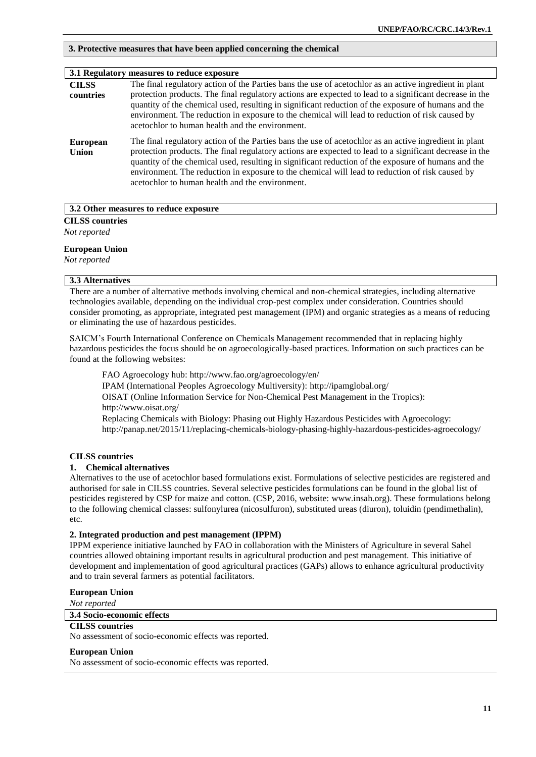#### **3. Protective measures that have been applied concerning the chemical**

|                                 | 3.1 Regulatory measures to reduce exposure                                                                                                                                                                                                                                                                                                                                                                                                                                     |
|---------------------------------|--------------------------------------------------------------------------------------------------------------------------------------------------------------------------------------------------------------------------------------------------------------------------------------------------------------------------------------------------------------------------------------------------------------------------------------------------------------------------------|
| <b>CILSS</b><br>countries       | The final regulatory action of the Parties bans the use of acetochlor as an active ingredient in plant<br>protection products. The final regulatory actions are expected to lead to a significant decrease in the<br>quantity of the chemical used, resulting in significant reduction of the exposure of humans and the<br>environment. The reduction in exposure to the chemical will lead to reduction of risk caused by<br>acetochlor to human health and the environment. |
| <b>European</b><br><b>Union</b> | The final regulatory action of the Parties bans the use of acetochlor as an active ingredient in plant<br>protection products. The final regulatory actions are expected to lead to a significant decrease in the<br>quantity of the chemical used, resulting in significant reduction of the exposure of humans and the<br>environment. The reduction in exposure to the chemical will lead to reduction of risk caused by<br>acetochlor to human health and the environment. |

#### **3.2 Other measures to reduce exposure**

**CILSS countries**

*Not reported*

#### **European Union**

*Not reported*

#### **3.3 Alternatives**

There are a number of alternative methods involving chemical and non-chemical strategies, including alternative technologies available, depending on the individual crop-pest complex under consideration. Countries should consider promoting, as appropriate, integrated pest management (IPM) and organic strategies as a means of reducing or eliminating the use of hazardous pesticides.

SAICM's Fourth International Conference on Chemicals Management recommended that in replacing highly hazardous pesticides the focus should be on agroecologically-based practices. Information on such practices can be found at the following websites:

FAO Agroecology hub:<http://www.fao.org/agroecology/en/> IPAM (International Peoples Agroecology Multiversity):<http://ipamglobal.org/> OISAT (Online Information Service for Non-Chemical Pest Management in the Tropics): <http://www.oisat.org/> Replacing Chemicals with Biology: Phasing out Highly Hazardous Pesticides with Agroecology: <http://panap.net/2015/11/replacing-chemicals-biology-phasing-highly-hazardous-pesticides-agroecology/>

#### **CILSS countries**

#### **1. Chemical alternatives**

Alternatives to the use of acetochlor based formulations exist. Formulations of selective pesticides are registered and authorised for sale in CILSS countries. Several selective pesticides formulations can be found in the global list of pesticides registered by CSP for maize and cotton. (CSP, 2016, website: [www.insah.org\)](http://www.insah.org/). These formulations belong to the following chemical classes: sulfonylurea (nicosulfuron), substituted ureas (diuron), toluidin (pendimethalin), etc.

#### **2. Integrated production and pest management (IPPM)**

IPPM experience initiative launched by FAO in collaboration with the Ministers of Agriculture in several Sahel countries allowed obtaining important results in agricultural production and pest management. This initiative of development and implementation of good agricultural practices (GAPs) allows to enhance agricultural productivity and to train several farmers as potential facilitators.

#### **European Union**

*Not reported*

#### **3.4 Socio-economic effects**

**CILSS countries** No assessment of socio-economic effects was reported.

#### **European Union**

No assessment of socio-economic effects was reported.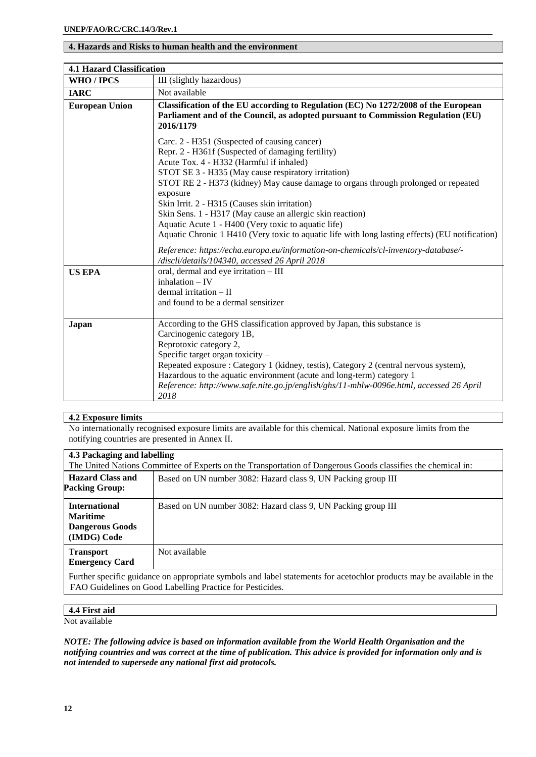#### **4. Hazards and Risks to human health and the environment**

| <b>4.1 Hazard Classification</b> |                                                                                                                                                                                                                                                                                                                                                                                                                                                                                                                                                                                                                                                                                                                                                                       |  |
|----------------------------------|-----------------------------------------------------------------------------------------------------------------------------------------------------------------------------------------------------------------------------------------------------------------------------------------------------------------------------------------------------------------------------------------------------------------------------------------------------------------------------------------------------------------------------------------------------------------------------------------------------------------------------------------------------------------------------------------------------------------------------------------------------------------------|--|
| WHO / IPCS                       | III (slightly hazardous)                                                                                                                                                                                                                                                                                                                                                                                                                                                                                                                                                                                                                                                                                                                                              |  |
| <b>IARC</b>                      | Not available                                                                                                                                                                                                                                                                                                                                                                                                                                                                                                                                                                                                                                                                                                                                                         |  |
| <b>European Union</b>            | Classification of the EU according to Regulation (EC) No 1272/2008 of the European<br>Parliament and of the Council, as adopted pursuant to Commission Regulation (EU)<br>2016/1179<br>Carc. 2 - H351 (Suspected of causing cancer)<br>Repr. 2 - H361f (Suspected of damaging fertility)<br>Acute Tox. 4 - H332 (Harmful if inhaled)<br>STOT SE 3 - H335 (May cause respiratory irritation)<br>STOT RE 2 - H373 (kidney) May cause damage to organs through prolonged or repeated<br>exposure<br>Skin Irrit. 2 - H315 (Causes skin irritation)<br>Skin Sens. 1 - H317 (May cause an allergic skin reaction)<br>Aquatic Acute 1 - H400 (Very toxic to aquatic life)<br>Aquatic Chronic 1 H410 (Very toxic to aquatic life with long lasting effects) (EU notification) |  |
|                                  | Reference: https://echa.europa.eu/information-on-chemicals/cl-inventory-database/-<br>/discli/details/104340, accessed 26 April 2018                                                                                                                                                                                                                                                                                                                                                                                                                                                                                                                                                                                                                                  |  |
| <b>US EPA</b>                    | oral, dermal and eye irritation - III<br>$inhalation - IV$<br>$d$ ermal irritation $-$ II<br>and found to be a dermal sensitizer                                                                                                                                                                                                                                                                                                                                                                                                                                                                                                                                                                                                                                      |  |
| Japan                            | According to the GHS classification approved by Japan, this substance is<br>Carcinogenic category 1B,<br>Reprotoxic category 2,<br>Specific target organ toxicity –<br>Repeated exposure: Category 1 (kidney, testis), Category 2 (central nervous system),<br>Hazardous to the aquatic environment (acute and long-term) category 1<br>Reference: http://www.safe.nite.go.jp/english/ghs/11-mhlw-0096e.html, accessed 26 April<br>2018                                                                                                                                                                                                                                                                                                                               |  |

#### **4.2 Exposure limits**

No internationally recognised exposure limits are available for this chemical. National exposure limits from the notifying countries are presented in Annex II.

| 4.3 Packaging and labelling                                                                                                                                                        |                                                                                                              |  |  |
|------------------------------------------------------------------------------------------------------------------------------------------------------------------------------------|--------------------------------------------------------------------------------------------------------------|--|--|
|                                                                                                                                                                                    | The United Nations Committee of Experts on the Transportation of Dangerous Goods classifies the chemical in: |  |  |
| <b>Hazard Class and</b><br><b>Packing Group:</b>                                                                                                                                   | Based on UN number 3082: Hazard class 9, UN Packing group III                                                |  |  |
| <b>International</b><br><b>Maritime</b><br><b>Dangerous Goods</b><br>(IMDG) Code                                                                                                   | Based on UN number 3082: Hazard class 9, UN Packing group III                                                |  |  |
| <b>Transport</b><br><b>Emergency Card</b>                                                                                                                                          | Not available                                                                                                |  |  |
| Further specific guidance on appropriate symbols and label statements for acetochlor products may be available in the<br>FAO Guidelines on Good Labelling Practice for Pesticides. |                                                                                                              |  |  |

#### **4.4 First aid**

Not available

*NOTE: The following advice is based on information available from the World Health Organisation and the notifying countries and was correct at the time of publication. This advice is provided for information only and is not intended to supersede any national first aid protocols.*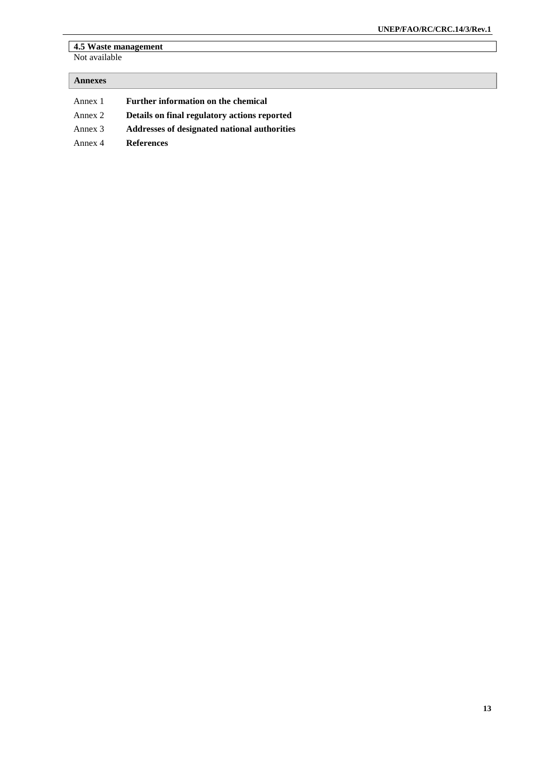#### **4.5 Waste management**  Not available

| <b>Annexes</b> |                                              |
|----------------|----------------------------------------------|
| Annex 1        | Further information on the chemical          |
| Annex 2        | Details on final regulatory actions reported |
| Annex 3        | Addresses of designated national authorities |
| Annex 4        | <b>References</b>                            |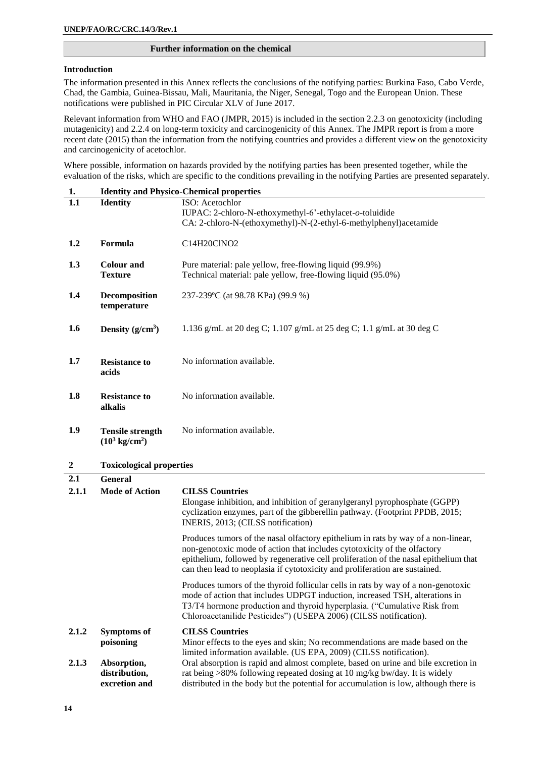#### **Further information on the chemical**

#### **Introduction**

The information presented in this Annex reflects the conclusions of the notifying parties: Burkina Faso, Cabo Verde, Chad, the Gambia, Guinea-Bissau, Mali, Mauritania, the Niger, Senegal, Togo and the European Union. These notifications were published in PIC Circular XLV of June 2017.

Relevant information from WHO and FAO (JMPR, 2015) is included in the section 2.2.3 on genotoxicity (including mutagenicity) and 2.2.4 on long-term toxicity and carcinogenicity of this Annex. The JMPR report is from a more recent date (2015) than the information from the notifying countries and provides a different view on the genotoxicity and carcinogenicity of acetochlor.

Where possible, information on hazards provided by the notifying parties has been presented together, while the evaluation of the risks, which are specific to the conditions prevailing in the notifying Parties are presented separately.

| 1.               | <b>Identity and Physico-Chemical properties</b>     |                                                                                                                                                                                                                                                                                                                                      |  |
|------------------|-----------------------------------------------------|--------------------------------------------------------------------------------------------------------------------------------------------------------------------------------------------------------------------------------------------------------------------------------------------------------------------------------------|--|
| 1.1              | <b>Identity</b>                                     | ISO: Acetochlor<br>IUPAC: 2-chloro-N-ethoxymethyl-6'-ethylacet-o-toluidide<br>CA: 2-chloro-N-(ethoxymethyl)-N-(2-ethyl-6-methylphenyl)acetamide                                                                                                                                                                                      |  |
| 1.2              | Formula                                             | C14H20ClNO2                                                                                                                                                                                                                                                                                                                          |  |
| 1.3              | <b>Colour and</b><br><b>Texture</b>                 | Pure material: pale yellow, free-flowing liquid (99.9%)<br>Technical material: pale yellow, free-flowing liquid (95.0%)                                                                                                                                                                                                              |  |
| 1.4              | Decomposition<br>temperature                        | 237-239°C (at 98.78 KPa) (99.9 %)                                                                                                                                                                                                                                                                                                    |  |
| 1.6              | Density $(g/cm^3)$                                  | 1.136 g/mL at 20 deg C; 1.107 g/mL at 25 deg C; 1.1 g/mL at 30 deg C                                                                                                                                                                                                                                                                 |  |
| 1.7              | <b>Resistance to</b><br>acids                       | No information available.                                                                                                                                                                                                                                                                                                            |  |
| 1.8              | <b>Resistance to</b><br>alkalis                     | No information available.                                                                                                                                                                                                                                                                                                            |  |
| 1.9              | <b>Tensile strength</b><br>$(10^3 \text{ kg/cm}^2)$ | No information available.                                                                                                                                                                                                                                                                                                            |  |
| $\boldsymbol{2}$ | <b>Toxicological properties</b>                     |                                                                                                                                                                                                                                                                                                                                      |  |
| 2.1              | <b>General</b>                                      |                                                                                                                                                                                                                                                                                                                                      |  |
| 2.1.1            | <b>Mode of Action</b>                               | <b>CILSS Countries</b><br>Elongase inhibition, and inhibition of geranylgeranyl pyrophosphate (GGPP)<br>cyclization enzymes, part of the gibberellin pathway. (Footprint PPDB, 2015;<br>INERIS, 2013; (CILSS notification)                                                                                                           |  |
|                  |                                                     | Produces tumors of the nasal olfactory epithelium in rats by way of a non-linear,<br>non-genotoxic mode of action that includes cytotoxicity of the olfactory<br>epithelium, followed by regenerative cell proliferation of the nasal epithelium that<br>can then lead to neoplasia if cytotoxicity and proliferation are sustained. |  |
|                  |                                                     | Produces tumors of the thyroid follicular cells in rats by way of a non-genotoxic<br>mode of action that includes UDPGT induction, increased TSH, alterations in<br>T3/T4 hormone production and thyroid hyperplasia. ("Cumulative Risk from<br>Chloroacetanilide Pesticides") (USEPA 2006) (CILSS notification).                    |  |
| 2.1.2            | Symptoms of<br>poisoning                            | <b>CILSS Countries</b><br>Minor effects to the eyes and skin; No recommendations are made based on the<br>limited information available. (US EPA, 2009) (CILSS notification).                                                                                                                                                        |  |
| 2.1.3            | Absorption,<br>distribution,<br>excretion and       | Oral absorption is rapid and almost complete, based on urine and bile excretion in<br>rat being >80% following repeated dosing at 10 mg/kg bw/day. It is widely<br>distributed in the body but the potential for accumulation is low, although there is                                                                              |  |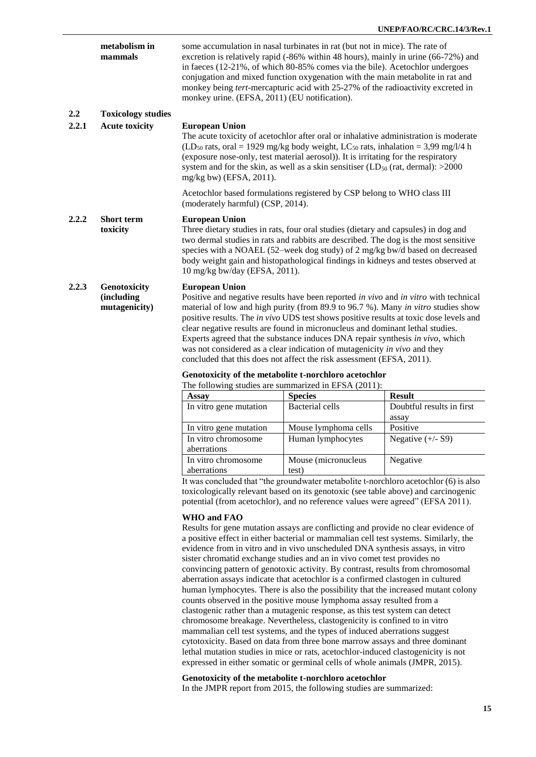|       | metabolism in<br>mammals                            | monkey urine. (EFSA, 2011) (EU notification).                                                                                                                                                                                                                                                                                                                                                                                                                                                                                                                                                                                                                                                                                         | some accumulation in nasal turbinates in rat (but not in mice). The rate of<br>excretion is relatively rapid (-86% within 48 hours), mainly in urine (66-72%) and<br>in faeces (12-21%, of which 80-85% comes via the bile). Acetochlor undergoes<br>conjugation and mixed function oxygenation with the main metabolite in rat and<br>monkey being tert-mercapturic acid with 25-27% of the radioactivity excreted in |                                    |
|-------|-----------------------------------------------------|---------------------------------------------------------------------------------------------------------------------------------------------------------------------------------------------------------------------------------------------------------------------------------------------------------------------------------------------------------------------------------------------------------------------------------------------------------------------------------------------------------------------------------------------------------------------------------------------------------------------------------------------------------------------------------------------------------------------------------------|------------------------------------------------------------------------------------------------------------------------------------------------------------------------------------------------------------------------------------------------------------------------------------------------------------------------------------------------------------------------------------------------------------------------|------------------------------------|
| 2.2   | <b>Toxicology studies</b>                           |                                                                                                                                                                                                                                                                                                                                                                                                                                                                                                                                                                                                                                                                                                                                       |                                                                                                                                                                                                                                                                                                                                                                                                                        |                                    |
| 2.2.1 | <b>Acute toxicity</b>                               | <b>European Union</b><br>mg/kg bw) (EFSA, 2011).                                                                                                                                                                                                                                                                                                                                                                                                                                                                                                                                                                                                                                                                                      | The acute toxicity of acetochlor after oral or inhalative administration is moderate<br>$(LD_{50}$ rats, oral = 1929 mg/kg body weight, LC <sub>50</sub> rats, inhalation = 3,99 mg/l/4 h<br>(exposure nose-only, test material aerosol)). It is irritating for the respiratory<br>system and for the skin, as well as a skin sensitiser (LD $_{50}$ (rat, dermal): >2000                                              |                                    |
|       |                                                     | (moderately harmful) (CSP, 2014).                                                                                                                                                                                                                                                                                                                                                                                                                                                                                                                                                                                                                                                                                                     | Acetochlor based formulations registered by CSP belong to WHO class III                                                                                                                                                                                                                                                                                                                                                |                                    |
| 2.2.2 | <b>Short term</b><br>toxicity                       | <b>European Union</b><br>10 mg/kg bw/day (EFSA, 2011).                                                                                                                                                                                                                                                                                                                                                                                                                                                                                                                                                                                                                                                                                | Three dietary studies in rats, four oral studies (dietary and capsules) in dog and<br>two dermal studies in rats and rabbits are described. The dog is the most sensitive<br>species with a NOAEL (52-week dog study) of 2 mg/kg bw/d based on decreased<br>body weight gain and histopathological findings in kidneys and testes observed at                                                                          |                                    |
| 2.2.3 | Genotoxicity<br><i>(including)</i><br>mutagenicity) | <b>European Union</b><br>Positive and negative results have been reported in vivo and in vitro with technical<br>material of low and high purity (from 89.9 to 96.7 %). Many in vitro studies show<br>positive results. The in vivo UDS test shows positive results at toxic dose levels and<br>clear negative results are found in micronucleus and dominant lethal studies.<br>Experts agreed that the substance induces DNA repair synthesis in vivo, which<br>was not considered as a clear indication of mutagenicity in vivo and they<br>concluded that this does not affect the risk assessment (EFSA, 2011).<br>Genotoxicity of the metabolite t-norchloro acetochlor<br>The following studies are summarized in EFSA (2011): |                                                                                                                                                                                                                                                                                                                                                                                                                        |                                    |
|       |                                                     | <b>Assay</b>                                                                                                                                                                                                                                                                                                                                                                                                                                                                                                                                                                                                                                                                                                                          | <b>Species</b>                                                                                                                                                                                                                                                                                                                                                                                                         | <b>Result</b>                      |
|       |                                                     | In vitro gene mutation                                                                                                                                                                                                                                                                                                                                                                                                                                                                                                                                                                                                                                                                                                                | <b>Bacterial cells</b>                                                                                                                                                                                                                                                                                                                                                                                                 | Doubtful results in first<br>assay |
|       |                                                     |                                                                                                                                                                                                                                                                                                                                                                                                                                                                                                                                                                                                                                                                                                                                       |                                                                                                                                                                                                                                                                                                                                                                                                                        |                                    |

In vitro gene mutation Mouse lymphoma cells Positive In vitro chromosome aberrations Human lymphocytes Negative  $(+/- S9)$ In vitro chromosome aberrations Mouse (micronucleus test) Negative

It was concluded that "the groundwater metabolite t-norchloro acetochlor (6) is also toxicologically relevant based on its genotoxic (see table above) and carcinogenic potential (from acetochlor), and no reference values were agreed" (EFSA 2011).

#### **WHO and FAO**

Results for gene mutation assays are conflicting and provide no clear evidence of a positive effect in either bacterial or mammalian cell test systems. Similarly, the evidence from in vitro and in vivo unscheduled DNA synthesis assays, in vitro sister chromatid exchange studies and an in vivo comet test provides no convincing pattern of genotoxic activity. By contrast, results from chromosomal aberration assays indicate that acetochlor is a confirmed clastogen in cultured human lymphocytes. There is also the possibility that the increased mutant colony counts observed in the positive mouse lymphoma assay resulted from a clastogenic rather than a mutagenic response, as this test system can detect chromosome breakage. Nevertheless, clastogenicity is confined to in vitro mammalian cell test systems, and the types of induced aberrations suggest cytotoxicity. Based on data from three bone marrow assays and three dominant lethal mutation studies in mice or rats, acetochlor-induced clastogenicity is not expressed in either somatic or germinal cells of whole animals (JMPR, 2015).

**Genotoxicity of the metabolite t-norchloro acetochlor**

In the JMPR report from 2015, the following studies are summarized: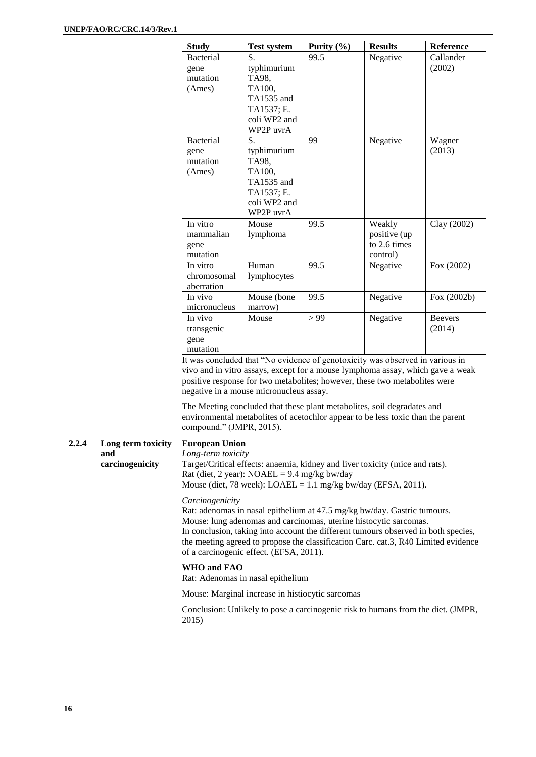| <b>Study</b>     | <b>Test system</b> | Purity $(\% )$ | <b>Results</b> | <b>Reference</b> |
|------------------|--------------------|----------------|----------------|------------------|
| <b>Bacterial</b> | S.                 | 99.5           | Negative       | Callander        |
| gene             | typhimurium        |                |                | (2002)           |
| mutation         | TA98,              |                |                |                  |
| (Ames)           | TA100,             |                |                |                  |
|                  | TA1535 and         |                |                |                  |
|                  | TA1537; E.         |                |                |                  |
|                  | coli WP2 and       |                |                |                  |
|                  | WP2P uvrA          |                |                |                  |
| <b>Bacterial</b> | S.                 | 99             | Negative       | Wagner           |
| gene             | typhimurium        |                |                | (2013)           |
| mutation         | TA98,              |                |                |                  |
| (Ames)           | TA100,             |                |                |                  |
|                  | TA1535 and         |                |                |                  |
|                  | TA1537; E.         |                |                |                  |
|                  | coli WP2 and       |                |                |                  |
|                  | WP2P uvrA          |                |                |                  |
| In vitro         | Mouse              | 99.5           | Weakly         | Clay (2002)      |
| mammalian        | lymphoma           |                | positive (up   |                  |
| gene             |                    |                | to 2.6 times   |                  |
| mutation         |                    |                | control)       |                  |
| In vitro         | Human              | 99.5           | Negative       | Fox (2002)       |
| chromosomal      | lymphocytes        |                |                |                  |
| aberration       |                    |                |                |                  |
| In vivo          | Mouse (bone        | 99.5           | Negative       | Fox (2002b)      |
| micronucleus     | marrow)            |                |                |                  |
| In vivo          | Mouse              | > 99           | Negative       | <b>Beevers</b>   |
| transgenic       |                    |                |                | (2014)           |
| gene             |                    |                |                |                  |
| mutation         |                    |                |                |                  |

It was concluded that "No evidence of genotoxicity was observed in various in vivo and in vitro assays, except for a mouse lymphoma assay, which gave a weak positive response for two metabolites; however, these two metabolites were negative in a mouse micronucleus assay.

The Meeting concluded that these plant metabolites, soil degradates and environmental metabolites of acetochlor appear to be less toxic than the parent compound." (JMPR, 2015).

#### **2.2.4 Long term toxicity and carcinogenicity**

### **European Union**

*Long-term toxicity* Target/Critical effects: anaemia, kidney and liver toxicity (mice and rats). Rat (diet, 2 year):  $NOAEL = 9.4$  mg/kg bw/day Mouse (diet, 78 week):  $LOAEL = 1.1$  mg/kg bw/day (EFSA, 2011).

#### *Carcinogenicity*

Rat: adenomas in nasal epithelium at 47.5 mg/kg bw/day. Gastric tumours. Mouse: lung adenomas and carcinomas, uterine histocytic sarcomas. In conclusion, taking into account the different tumours observed in both species, the meeting agreed to propose the classification Carc. cat.3, R40 Limited evidence of a carcinogenic effect. (EFSA, 2011).

#### **WHO and FAO**

Rat: Adenomas in nasal epithelium

Mouse: Marginal increase in histiocytic sarcomas

Conclusion: Unlikely to pose a carcinogenic risk to humans from the diet. (JMPR, 2015)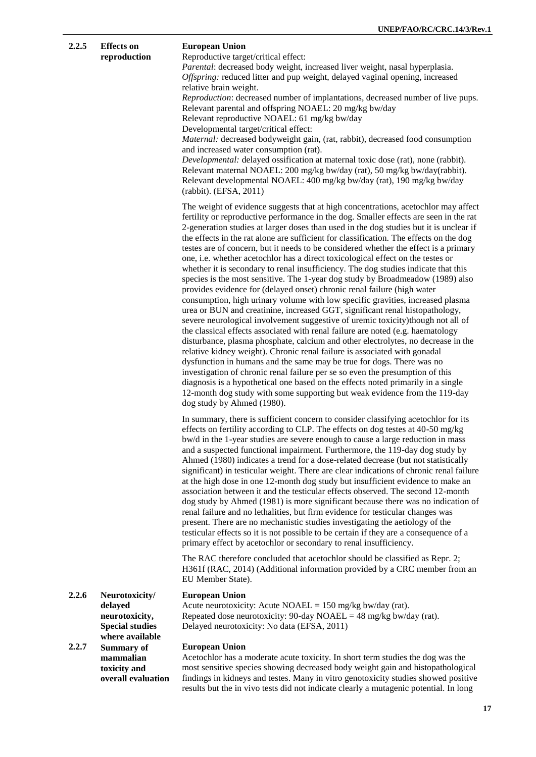|       |                                                                                          | UNEP/FAU/KU/UKU.14/3/Ke                                                                                                                                                                                                                                                                                                                                                                                                                                                                                                                                                                                                                                                                                                                                                                                                                                                                                                                                                                                                                                                                                                                                                                                                                                                                                                                                                                                                                                                                                                                                                                                                                                           |
|-------|------------------------------------------------------------------------------------------|-------------------------------------------------------------------------------------------------------------------------------------------------------------------------------------------------------------------------------------------------------------------------------------------------------------------------------------------------------------------------------------------------------------------------------------------------------------------------------------------------------------------------------------------------------------------------------------------------------------------------------------------------------------------------------------------------------------------------------------------------------------------------------------------------------------------------------------------------------------------------------------------------------------------------------------------------------------------------------------------------------------------------------------------------------------------------------------------------------------------------------------------------------------------------------------------------------------------------------------------------------------------------------------------------------------------------------------------------------------------------------------------------------------------------------------------------------------------------------------------------------------------------------------------------------------------------------------------------------------------------------------------------------------------|
| 2.2.5 | <b>Effects</b> on<br>reproduction                                                        | <b>European Union</b><br>Reproductive target/critical effect:<br>Parental: decreased body weight, increased liver weight, nasal hyperplasia.<br>Offspring: reduced litter and pup weight, delayed vaginal opening, increased<br>relative brain weight.<br>Reproduction: decreased number of implantations, decreased number of live pups.<br>Relevant parental and offspring NOAEL: 20 mg/kg bw/day<br>Relevant reproductive NOAEL: 61 mg/kg bw/day<br>Developmental target/critical effect:<br>Maternal: decreased bodyweight gain, (rat, rabbit), decreased food consumption<br>and increased water consumption (rat).<br>Developmental: delayed ossification at maternal toxic dose (rat), none (rabbit).<br>Relevant maternal NOAEL: 200 mg/kg bw/day (rat), 50 mg/kg bw/day(rabbit).<br>Relevant developmental NOAEL: 400 mg/kg bw/day (rat), 190 mg/kg bw/day<br>(rabbit). (EFSA, 2011)                                                                                                                                                                                                                                                                                                                                                                                                                                                                                                                                                                                                                                                                                                                                                                     |
|       |                                                                                          | The weight of evidence suggests that at high concentrations, acetochlor may affect<br>fertility or reproductive performance in the dog. Smaller effects are seen in the rat<br>2-generation studies at larger doses than used in the dog studies but it is unclear if<br>the effects in the rat alone are sufficient for classification. The effects on the dog<br>testes are of concern, but it needs to be considered whether the effect is a primary<br>one, i.e. whether acetochlor has a direct toxicological effect on the testes or<br>whether it is secondary to renal insufficiency. The dog studies indicate that this<br>species is the most sensitive. The 1-year dog study by Broadmeadow (1989) also<br>provides evidence for (delayed onset) chronic renal failure (high water<br>consumption, high urinary volume with low specific gravities, increased plasma<br>urea or BUN and creatinine, increased GGT, significant renal histopathology,<br>severe neurological involvement suggestive of uremic toxicity)though not all of<br>the classical effects associated with renal failure are noted (e.g. haematology<br>disturbance, plasma phosphate, calcium and other electrolytes, no decrease in the<br>relative kidney weight). Chronic renal failure is associated with gonadal<br>dysfunction in humans and the same may be true for dogs. There was no<br>investigation of chronic renal failure per se so even the presumption of this<br>diagnosis is a hypothetical one based on the effects noted primarily in a single<br>12-month dog study with some supporting but weak evidence from the 119-day<br>dog study by Ahmed (1980). |
|       |                                                                                          | In summary, there is sufficient concern to consider classifying acetochlor for its<br>effects on fertility according to CLP. The effects on dog testes at 40-50 mg/kg<br>bw/d in the 1-year studies are severe enough to cause a large reduction in mass<br>and a suspected functional impairment. Furthermore, the 119-day dog study by<br>Ahmed (1980) indicates a trend for a dose-related decrease (but not statistically<br>significant) in testicular weight. There are clear indications of chronic renal failure<br>at the high dose in one 12-month dog study but insufficient evidence to make an<br>association between it and the testicular effects observed. The second 12-month<br>dog study by Ahmed (1981) is more significant because there was no indication of<br>renal failure and no lethalities, but firm evidence for testicular changes was<br>present. There are no mechanistic studies investigating the aetiology of the<br>testicular effects so it is not possible to be certain if they are a consequence of a<br>primary effect by acetochlor or secondary to renal insufficiency.                                                                                                                                                                                                                                                                                                                                                                                                                                                                                                                                                |
|       |                                                                                          | The RAC therefore concluded that acetochlor should be classified as Repr. 2;<br>H361f (RAC, 2014) (Additional information provided by a CRC member from an<br>EU Member State).                                                                                                                                                                                                                                                                                                                                                                                                                                                                                                                                                                                                                                                                                                                                                                                                                                                                                                                                                                                                                                                                                                                                                                                                                                                                                                                                                                                                                                                                                   |
| 2.2.6 | Neurotoxicity/<br>delayed<br>neurotoxicity,<br><b>Special studies</b><br>where available | <b>European Union</b><br>Acute neurotoxicity: Acute NOAEL = $150 \text{ mg/kg}$ bw/day (rat).<br>Repeated dose neurotoxicity: 90-day NOAEL = 48 mg/kg bw/day (rat).<br>Delayed neurotoxicity: No data (EFSA, 2011)                                                                                                                                                                                                                                                                                                                                                                                                                                                                                                                                                                                                                                                                                                                                                                                                                                                                                                                                                                                                                                                                                                                                                                                                                                                                                                                                                                                                                                                |
| 2.2.7 | <b>Summary of</b><br>mammalian<br>toxicity and<br>overall evaluation                     | <b>European Union</b><br>Acetochlor has a moderate acute toxicity. In short term studies the dog was the<br>most sensitive species showing decreased body weight gain and histopathological<br>findings in kidneys and testes. Many in vitro genotoxicity studies showed positive                                                                                                                                                                                                                                                                                                                                                                                                                                                                                                                                                                                                                                                                                                                                                                                                                                                                                                                                                                                                                                                                                                                                                                                                                                                                                                                                                                                 |

results but the in vivo tests did not indicate clearly a mutagenic potential. In long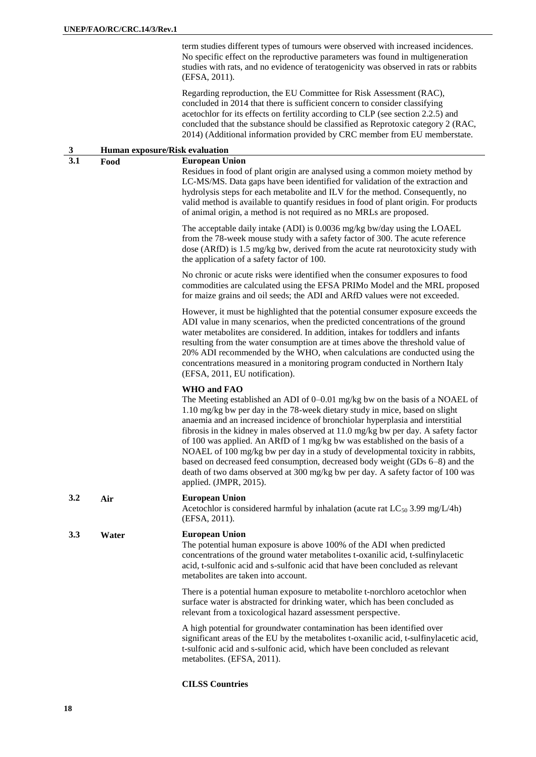term studies different types of tumours were observed with increased incidences. No specific effect on the reproductive parameters was found in multigeneration studies with rats, and no evidence of teratogenicity was observed in rats or rabbits (EFSA, 2011).

Regarding reproduction, the EU Committee for Risk Assessment (RAC), concluded in 2014 that there is sufficient concern to consider classifying acetochlor for its effects on fertility according to CLP (see section 2.2.5) and concluded that the substance should be classified as Reprotoxic category 2 (RAC, 2014) (Additional information provided by CRC member from EU memberstate.

| $\mathbf{3}$ | Human exposure/Risk evaluation |                                                                                                                                                                                                                                                                                                                                                                                                                                                                                                                                                                                                                                                                                                                        |  |
|--------------|--------------------------------|------------------------------------------------------------------------------------------------------------------------------------------------------------------------------------------------------------------------------------------------------------------------------------------------------------------------------------------------------------------------------------------------------------------------------------------------------------------------------------------------------------------------------------------------------------------------------------------------------------------------------------------------------------------------------------------------------------------------|--|
| 3.1          | Food                           | <b>European Union</b><br>Residues in food of plant origin are analysed using a common moiety method by<br>LC-MS/MS. Data gaps have been identified for validation of the extraction and<br>hydrolysis steps for each metabolite and ILV for the method. Consequently, no<br>valid method is available to quantify residues in food of plant origin. For products<br>of animal origin, a method is not required as no MRLs are proposed.                                                                                                                                                                                                                                                                                |  |
|              |                                | The acceptable daily intake (ADI) is 0.0036 mg/kg bw/day using the LOAEL<br>from the 78-week mouse study with a safety factor of 300. The acute reference<br>dose (ARfD) is 1.5 mg/kg bw, derived from the acute rat neurotoxicity study with<br>the application of a safety factor of 100.                                                                                                                                                                                                                                                                                                                                                                                                                            |  |
|              |                                | No chronic or acute risks were identified when the consumer exposures to food<br>commodities are calculated using the EFSA PRIMo Model and the MRL proposed<br>for maize grains and oil seeds; the ADI and ARfD values were not exceeded.                                                                                                                                                                                                                                                                                                                                                                                                                                                                              |  |
|              |                                | However, it must be highlighted that the potential consumer exposure exceeds the<br>ADI value in many scenarios, when the predicted concentrations of the ground<br>water metabolites are considered. In addition, intakes for toddlers and infants<br>resulting from the water consumption are at times above the threshold value of<br>20% ADI recommended by the WHO, when calculations are conducted using the<br>concentrations measured in a monitoring program conducted in Northern Italy<br>(EFSA, 2011, EU notification).                                                                                                                                                                                    |  |
|              |                                | <b>WHO</b> and FAO<br>The Meeting established an ADI of 0-0.01 mg/kg bw on the basis of a NOAEL of<br>1.10 mg/kg bw per day in the 78-week dietary study in mice, based on slight<br>anaemia and an increased incidence of bronchiolar hyperplasia and interstitial<br>fibrosis in the kidney in males observed at 11.0 mg/kg bw per day. A safety factor<br>of 100 was applied. An ARfD of 1 mg/kg bw was established on the basis of a<br>NOAEL of 100 mg/kg bw per day in a study of developmental toxicity in rabbits,<br>based on decreased feed consumption, decreased body weight (GDs 6-8) and the<br>death of two dams observed at 300 mg/kg bw per day. A safety factor of 100 was<br>applied. (JMPR, 2015). |  |
| 3.2          | Air                            | <b>European Union</b><br>Acetochlor is considered harmful by inhalation (acute rat $LC_{50}$ 3.99 mg/L/4h)<br>(EFSA, 2011).                                                                                                                                                                                                                                                                                                                                                                                                                                                                                                                                                                                            |  |
| 3.3          | Water                          | <b>European Union</b><br>The potential human exposure is above 100% of the ADI when predicted<br>concentrations of the ground water metabolites t-oxanilic acid, t-sulfinylacetic<br>acid, t-sulfonic acid and s-sulfonic acid that have been concluded as relevant<br>metabolites are taken into account.                                                                                                                                                                                                                                                                                                                                                                                                             |  |
|              |                                | There is a potential human exposure to metabolite t-norchloro acetochlor when<br>surface water is abstracted for drinking water, which has been concluded as<br>relevant from a toxicological hazard assessment perspective.                                                                                                                                                                                                                                                                                                                                                                                                                                                                                           |  |
|              |                                | A high potential for groundwater contamination has been identified over<br>significant areas of the EU by the metabolites t-oxanilic acid, t-sulfinylacetic acid,<br>t-sulfonic acid and s-sulfonic acid, which have been concluded as relevant<br>metabolites. (EFSA, 2011).                                                                                                                                                                                                                                                                                                                                                                                                                                          |  |

**CILSS Countries**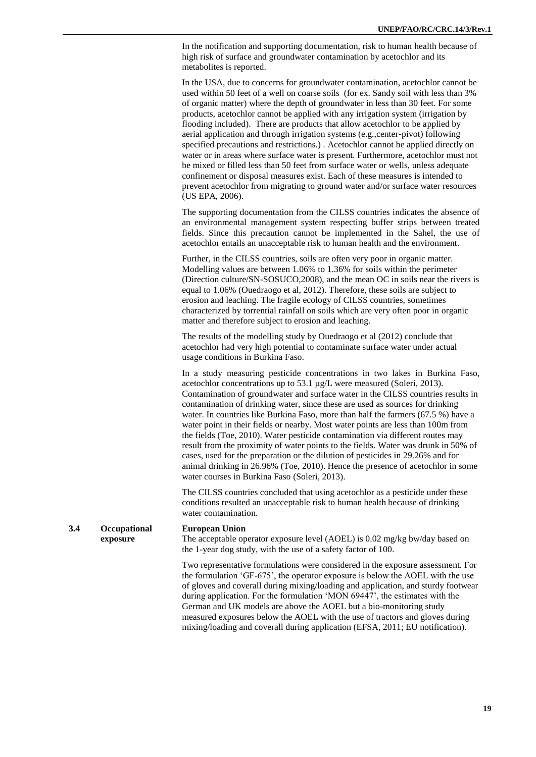In the notification and supporting documentation, risk to human health because of high risk of surface and groundwater contamination by acetochlor and its metabolites is reported.

In the USA, due to concerns for groundwater contamination, acetochlor cannot be used within 50 feet of a well on coarse soils (for ex. Sandy soil with less than 3% of organic matter) where the depth of groundwater in less than 30 feet. For some products, acetochlor cannot be applied with any irrigation system (irrigation by flooding included). There are products that allow acetochlor to be applied by aerial application and through irrigation systems (e.g.,center-pivot) following specified precautions and restrictions.) . Acetochlor cannot be applied directly on water or in areas where surface water is present. Furthermore, acetochlor must not be mixed or filled less than 50 feet from surface water or wells, unless adequate confinement or disposal measures exist. Each of these measures is intended to prevent acetochlor from migrating to ground water and/or surface water resources (US EPA, 2006).

The supporting documentation from the CILSS countries indicates the absence of an environmental management system respecting buffer strips between treated fields. Since this precaution cannot be implemented in the Sahel, the use of acetochlor entails an unacceptable risk to human health and the environment.

Further, in the CILSS countries, soils are often very poor in organic matter. Modelling values are between 1.06% to 1.36% for soils within the perimeter (Direction culture/SN-SOSUCO,2008), and the mean OC in soils near the rivers is equal to 1.06% (Ouedraogo et al, 2012). Therefore, these soils are subject to erosion and leaching. The fragile ecology of CILSS countries, sometimes characterized by torrential rainfall on soils which are very often poor in organic matter and therefore subject to erosion and leaching.

The results of the modelling study by Ouedraogo et al (2012) conclude that acetochlor had very high potential to contaminate surface water under actual usage conditions in Burkina Faso.

In a study measuring pesticide concentrations in two lakes in Burkina Faso, acetochlor concentrations up to 53.1 µg/L were measured (Soleri, 2013). Contamination of groundwater and surface water in the CILSS countries results in contamination of drinking water, since these are used as sources for drinking water. In countries like Burkina Faso, more than half the farmers (67.5 %) have a water point in their fields or nearby. Most water points are less than 100m from the fields (Toe, 2010). Water pesticide contamination via different routes may result from the proximity of water points to the fields. Water was drunk in 50% of cases, used for the preparation or the dilution of pesticides in 29.26% and for animal drinking in 26.96% (Toe, 2010). Hence the presence of acetochlor in some water courses in Burkina Faso (Soleri, 2013).

The CILSS countries concluded that using acetochlor as a pesticide under these conditions resulted an unacceptable risk to human health because of drinking water contamination.

#### **3.4 Occupational exposure European Union** The acceptable operator exposure level (AOEL) is 0.02 mg/kg bw/day based on the 1-year dog study, with the use of a safety factor of 100.

Two representative formulations were considered in the exposure assessment. For the formulation 'GF-675', the operator exposure is below the AOEL with the use of gloves and coverall during mixing/loading and application, and sturdy footwear during application. For the formulation 'MON 69447', the estimates with the German and UK models are above the AOEL but a bio-monitoring study measured exposures below the AOEL with the use of tractors and gloves during mixing/loading and coverall during application (EFSA, 2011; EU notification).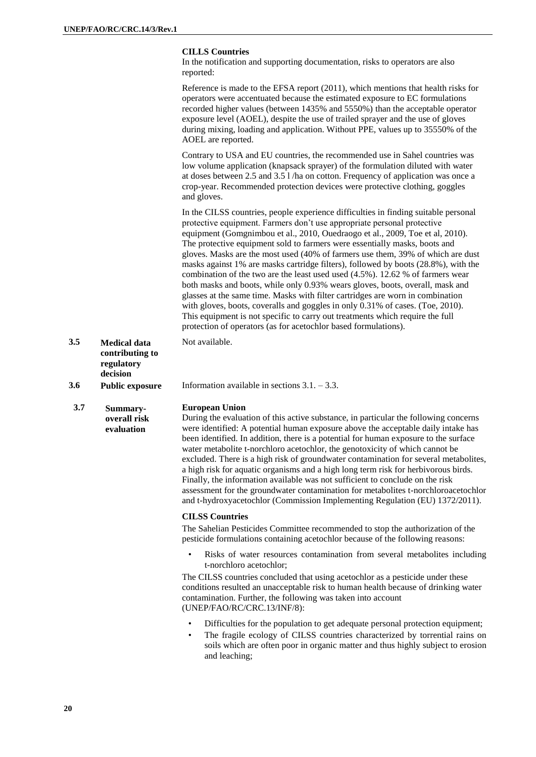#### **CILLS Countries**

In the notification and supporting documentation, risks to operators are also reported:

Reference is made to the EFSA report (2011), which mentions that health risks for operators were accentuated because the estimated exposure to EC formulations recorded higher values (between 1435% and 5550%) than the acceptable operator exposure level (AOEL), despite the use of trailed sprayer and the use of gloves during mixing, loading and application. Without PPE, values up to 35550% of the AOEL are reported.

Contrary to USA and EU countries, the recommended use in Sahel countries was low volume application (knapsack sprayer) of the formulation diluted with water at doses between 2.5 and 3.5 l /ha on cotton. Frequency of application was once a crop-year. Recommended protection devices were protective clothing, goggles and gloves.

In the CILSS countries, people experience difficulties in finding suitable personal protective equipment. Farmers don't use appropriate personal protective equipment (Gomgnimbou et al., 2010, Ouedraogo et al., 2009, Toe et al, 2010). The protective equipment sold to farmers were essentially masks, boots and gloves. Masks are the most used (40% of farmers use them, 39% of which are dust masks against 1% are masks cartridge filters), followed by boots (28.8%), with the combination of the two are the least used used (4.5%). 12.62 % of farmers wear both masks and boots, while only 0.93% wears gloves, boots, overall, mask and glasses at the same time. Masks with filter cartridges are worn in combination with gloves, boots, coveralls and goggles in only 0.31% of cases. (Toe, 2010). This equipment is not specific to carry out treatments which require the full protection of operators (as for acetochlor based formulations).

**3.5 Medical data contributing to regulatory decision** Not available.

**3.6 Public exposure** Information available in sections 3.1. – 3.3.

#### **3.7 Summary-**

**overall risk evaluation**

#### **European Union**

During the evaluation of this active substance, in particular the following concerns were identified: A potential human exposure above the acceptable daily intake has been identified. In addition, there is a potential for human exposure to the surface water metabolite t-norchloro acetochlor, the genotoxicity of which cannot be excluded. There is a high risk of groundwater contamination for several metabolites, a high risk for aquatic organisms and a high long term risk for herbivorous birds. Finally, the information available was not sufficient to conclude on the risk assessment for the groundwater contamination for metabolites t-norchloroacetochlor and t-hydroxyacetochlor (Commission Implementing Regulation (EU) 1372/2011).

#### **CILSS Countries**

The Sahelian Pesticides Committee recommended to stop the authorization of the pesticide formulations containing acetochlor because of the following reasons:

• Risks of water resources contamination from several metabolites including t-norchloro acetochlor;

The CILSS countries concluded that using acetochlor as a pesticide under these conditions resulted an unacceptable risk to human health because of drinking water contamination. Further, the following was taken into account (UNEP/FAO/RC/CRC.13/INF/8):

- Difficulties for the population to get adequate personal protection equipment;
- The fragile ecology of CILSS countries characterized by torrential rains on soils which are often poor in organic matter and thus highly subject to erosion and leaching;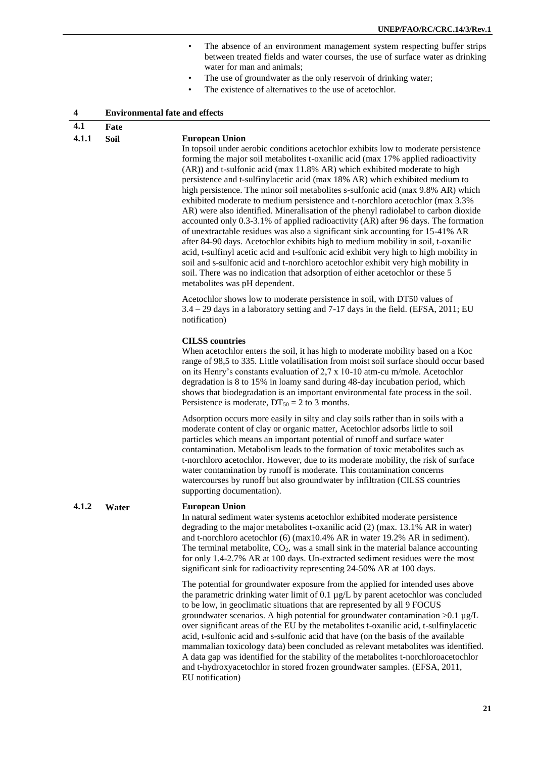- The absence of an environment management system respecting buffer strips between treated fields and water courses, the use of surface water as drinking water for man and animals;
- The use of groundwater as the only reservoir of drinking water;
- The existence of alternatives to the use of acetochlor.

|  | <b>Environmental fate and effects</b> |
|--|---------------------------------------|
|--|---------------------------------------|

#### **4.1 Fate**

#### **4.1.1 Soil European Union**

In topsoil under aerobic conditions acetochlor exhibits low to moderate persistence forming the major soil metabolites t-oxanilic acid (max 17% applied radioactivity (AR)) and t-sulfonic acid (max 11.8% AR) which exhibited moderate to high persistence and t-sulfinylacetic acid (max 18% AR) which exhibited medium to high persistence. The minor soil metabolites s-sulfonic acid (max 9.8% AR) which exhibited moderate to medium persistence and t-norchloro acetochlor (max 3.3% AR) were also identified. Mineralisation of the phenyl radiolabel to carbon dioxide accounted only 0.3-3.1% of applied radioactivity (AR) after 96 days. The formation of unextractable residues was also a significant sink accounting for 15-41% AR after 84-90 days. Acetochlor exhibits high to medium mobility in soil, t-oxanilic acid, t-sulfinyl acetic acid and t-sulfonic acid exhibit very high to high mobility in soil and s-sulfonic acid and t-norchloro acetochlor exhibit very high mobility in soil. There was no indication that adsorption of either acetochlor or these 5 metabolites was pH dependent.

Acetochlor shows low to moderate persistence in soil, with DT50 values of 3.4 – 29 days in a laboratory setting and 7-17 days in the field. (EFSA, 2011; EU notification)

#### **CILSS countries**

When acetochlor enters the soil, it has high to moderate mobility based on a Koc range of 98,5 to 335. Little volatilisation from moist soil surface should occur based on its Henry's constants evaluation of 2,7 x 10-10 atm-cu m/mole. Acetochlor degradation is 8 to 15% in loamy sand during 48-day incubation period, which shows that biodegradation is an important environmental fate process in the soil. Persistence is moderate,  $DT_{50} = 2$  to 3 months.

Adsorption occurs more easily in silty and clay soils rather than in soils with a moderate content of clay or organic matter, Acetochlor adsorbs little to soil particles which means an important potential of runoff and surface water contamination. Metabolism leads to the formation of toxic metabolites such as t-norchloro acetochlor. However, due to its moderate mobility, the risk of surface water contamination by runoff is moderate. This contamination concerns watercourses by runoff but also groundwater by infiltration (CILSS countries supporting documentation).

#### **4.1.2 Water European Union**

In natural sediment water systems acetochlor exhibited moderate persistence degrading to the major metabolites t-oxanilic acid (2) (max. 13.1% AR in water) and t-norchloro acetochlor (6) (max10.4% AR in water 19.2% AR in sediment). The terminal metabolite,  $CO<sub>2</sub>$ , was a small sink in the material balance accounting for only 1.4-2.7% AR at 100 days. Un-extracted sediment residues were the most significant sink for radioactivity representing 24-50% AR at 100 days.

The potential for groundwater exposure from the applied for intended uses above the parametric drinking water limit of 0.1 µg/L by parent acetochlor was concluded to be low, in geoclimatic situations that are represented by all 9 FOCUS groundwater scenarios. A high potential for groundwater contamination  $>0.1$  µg/L over significant areas of the EU by the metabolites t-oxanilic acid, t-sulfinylacetic acid, t-sulfonic acid and s-sulfonic acid that have (on the basis of the available mammalian toxicology data) been concluded as relevant metabolites was identified. A data gap was identified for the stability of the metabolites t-norchloroacetochlor and t-hydroxyacetochlor in stored frozen groundwater samples. (EFSA, 2011, EU notification)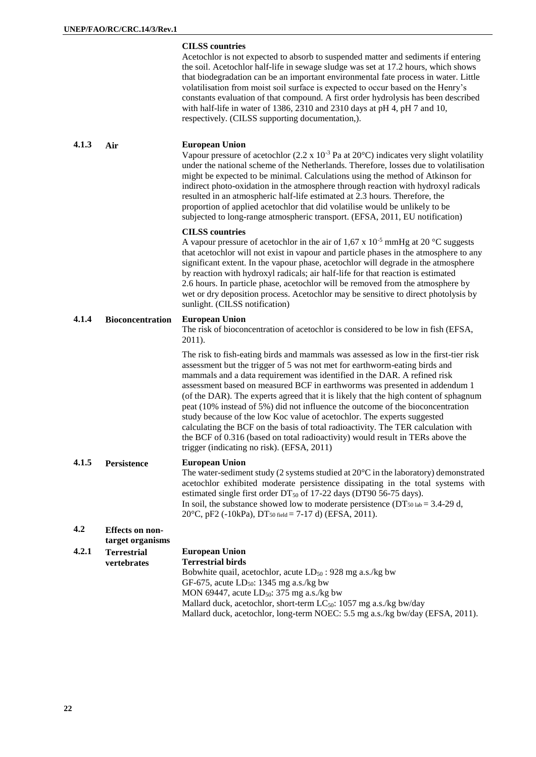#### **CILSS countries**

Acetochlor is not expected to absorb to suspended matter and sediments if entering the soil. Acetochlor half-life in sewage sludge was set at 17.2 hours, which shows that biodegradation can be an important environmental fate process in water. Little volatilisation from moist soil surface is expected to occur based on the Henry's constants evaluation of that compound. A first order hydrolysis has been described with half-life in water of 1386, 2310 and 2310 days at pH 4, pH 7 and 10, respectively. (CILSS supporting documentation,).

#### **4.1.3 Air European Union**

Vapour pressure of acetochlor  $(2.2 \times 10^{-3} \text{ Pa at } 20^{\circ}\text{C})$  indicates very slight volatility under the national scheme of the Netherlands. Therefore, losses due to volatilisation might be expected to be minimal. Calculations using the method of Atkinson for indirect photo-oxidation in the atmosphere through reaction with hydroxyl radicals resulted in an atmospheric half-life estimated at 2.3 hours. Therefore, the proportion of applied acetochlor that did volatilise would be unlikely to be subjected to long-range atmospheric transport. (EFSA, 2011, EU notification)

#### **CILSS countries**

A vapour pressure of acetochlor in the air of 1.67 x  $10^{-5}$  mmHg at 20 °C suggests that acetochlor will not exist in vapour and particle phases in the atmosphere to any significant extent. In the vapour phase, acetochlor will degrade in the atmosphere by reaction with hydroxyl radicals; air half-life for that reaction is estimated 2.6 hours. In particle phase, acetochlor will be removed from the atmosphere by wet or dry deposition process. Acetochlor may be sensitive to direct photolysis by sunlight. (CILSS notification)

#### **4.1.4 Bioconcentration European Union**

The risk of bioconcentration of acetochlor is considered to be low in fish (EFSA, 2011).

The risk to fish-eating birds and mammals was assessed as low in the first-tier risk assessment but the trigger of 5 was not met for earthworm-eating birds and mammals and a data requirement was identified in the DAR. A refined risk assessment based on measured BCF in earthworms was presented in addendum 1 (of the DAR). The experts agreed that it is likely that the high content of sphagnum peat (10% instead of 5%) did not influence the outcome of the bioconcentration study because of the low Koc value of acetochlor. The experts suggested calculating the BCF on the basis of total radioactivity. The TER calculation with the BCF of 0.316 (based on total radioactivity) would result in TERs above the trigger (indicating no risk). (EFSA, 2011)

#### **4.1.5 Persistence European Union**

The water-sediment study (2 systems studied at 20°C in the laboratory) demonstrated acetochlor exhibited moderate persistence dissipating in the total systems with estimated single first order  $DT_{50}$  of 17-22 days (DT90 56-75 days). In soil, the substance showed low to moderate persistence ( $DT_{50 \text{ lab}} = 3.4$ -29 d, 20 $^{\circ}$ C, pF2 (-10kPa), DT<sub>50</sub> field = 7-17 d) (EFSA, 2011).

#### **4.2 Effects on nontarget organisms**

| <b>Terrestrial</b> | <b>European Union</b>                                                          |  |
|--------------------|--------------------------------------------------------------------------------|--|
| <b>vertebrates</b> | <b>Terrestrial birds</b>                                                       |  |
|                    | Bobwhite quail, acetochlor, acute $LD_{50}$ : 928 mg a.s./kg bw                |  |
|                    | GF-675, acute $LD_{50}$ : 1345 mg a.s./kg bw                                   |  |
|                    | MON 69447, acute $LD_{50}$ : 375 mg a.s./kg bw                                 |  |
|                    | Mallard duck, acetochlor, short-term LC <sub>50</sub> : 1057 mg a.s./kg bw/day |  |
|                    | Mallard duck, acetochlor, long-term NOEC: 5.5 mg a.s./kg bw/day (EFSA, 2011).  |  |
|                    |                                                                                |  |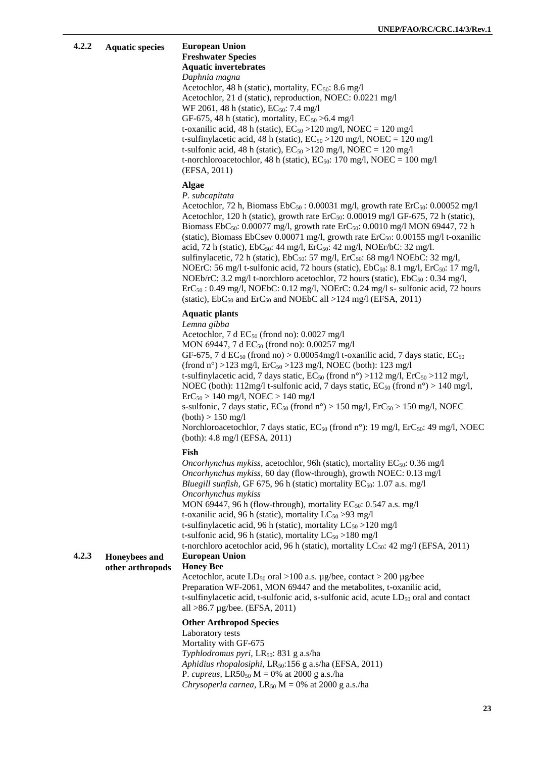| 4.2.2<br><b>Aquatic specie</b> |  |
|--------------------------------|--|
|--------------------------------|--|

#### **4.2.2 Aquatic species European Union Freshwater Species Aquatic invertebrates**

*Daphnia magna*

Acetochlor, 48 h (static), mortality,  $EC_{50}$ : 8.6 mg/l Acetochlor, 21 d (static), reproduction, NOEC: 0.0221 mg/l  $WF 2061, 48 h (static), EC<sub>50</sub>: 7.4 mg/l$ GF-675, 48 h (static), mortality,  $EC_{50} > 6.4$  mg/l t-oxanilic acid, 48 h (static),  $EC_{50} > 120$  mg/l, NOEC = 120 mg/l t-sulfinylacetic acid, 48 h (static),  $EC_{50} > 120$  mg/l, NOEC = 120 mg/l t-sulfonic acid, 48 h (static),  $EC_{50} > 120$  mg/l, NOEC = 120 mg/l t-norchloroacetochlor, 48 h (static),  $EC_{50}$ : 170 mg/l, NOEC = 100 mg/l (EFSA, 2011)

#### **Algae**

*P. subcapitata*

Acetochlor, 72 h, Biomass  $EbC_{50}$ : 0.00031 mg/l, growth rate  $ErC_{50}$ : 0.00052 mg/l Acetochlor, 120 h (static), growth rate  $\text{ErC}_{50}$ : 0.00019 mg/l GF-675, 72 h (static), Biomass EbC<sub>50</sub>: 0.00077 mg/l, growth rate ErC<sub>50</sub>: 0.0010 mg/l MON 69447, 72 h (static), Biomass EbCsev 0.00071 mg/l, growth rate  $\text{ErC}_{50}$ : 0.00155 mg/l t-oxanilic acid, 72 h (static),  $EbC_{50}$ : 44 mg/l,  $Ec_{50}$ : 42 mg/l, NOEr/bC: 32 mg/l. sulfinylacetic, 72 h (static),  $EbC_{50}$ : 57 mg/l,  $ErC_{50}$ : 68 mg/l NOEbC: 32 mg/l, NOErC: 56 mg/l t-sulfonic acid, 72 hours (static),  $EbC_{50}$ : 8.1 mg/l,  $ErC_{50}$ : 17 mg/l, NOEb/rC: 3.2 mg/l t-norchloro acetochlor, 72 hours (static),  $EbC_{50}$ : 0.34 mg/l,  $\text{ErC}_{50}$ : 0.49 mg/l, NOEbC: 0.12 mg/l, NOErC: 0.24 mg/l s- sulfonic acid, 72 hours (static),  $EbC_{50}$  and  $Ec_{50}$  and NOEbC all >124 mg/l (EFSA, 2011)

#### **Aquatic plants**

*Lemna gibba*

Acetochlor, 7 d  $EC_{50}$  (frond no): 0.0027 mg/l MON 69447, 7 d EC<sub>50</sub> (frond no): 0.00257 mg/l GF-675, 7 d  $EC_{50}$  (frond no) > 0.00054mg/l t-oxanilic acid, 7 days static,  $EC_{50}$ (frond n°) >123 mg/l,  $E<sub>10</sub>$  =123 mg/l, NOEC (both): 123 mg/l t-sulfinylacetic acid, 7 days static,  $EC_{50}$  (frond n°) >112 mg/l,  $E<sub>1</sub>C<sub>50</sub>$  >112 mg/l, NOEC (both):  $112mg/l$  t-sulfonic acid, 7 days static,  $EC_{50}$  (frond n°) > 140 mg/l,  $\text{ErC}_{50} > 140 \text{ mg/l}$ , NOEC  $> 140 \text{ mg/l}$ s-sulfonic, 7 days static,  $EC_{50}$  (frond n°) > 150 mg/l,  $E<sub>50</sub>$  > 150 mg/l, NOEC  $(both) > 150$  mg/l Norchloroacetochlor, 7 days static,  $EC_{50}$  (frond n°): 19 mg/l,  $ErC_{50}$ : 49 mg/l, NOEC (both): 4.8 mg/l (EFSA, 2011) **Fish** *Oncorhynchus mykiss, acetochlor, 96h (static), mortality EC<sub>50</sub>: 0.36 mg/l Oncorhynchus mykiss,* 60 day (flow-through), growth NOEC: 0.13 mg/l *Bluegill sunfish, GF 675, 96 h (static) mortality*  $EC_{50}$ *: 1.07 a.s. mg/l Oncorhynchus mykiss* MON 69447, 96 h (flow-through), mortality  $EC_{50}$ : 0.547 a.s. mg/l t-oxanilic acid, 96 h (static), mortality  $LC_{50} > 93$  mg/l t-sulfinylacetic acid, 96 h (static), mortality  $LC_{50} > 120$  mg/l t-sulfonic acid, 96 h (static), mortality  $LC_{50} > 180$  mg/l t-norchloro acetochlor acid, 96 h (static), mortality  $LC_{50}$ : 42 mg/l (EFSA, 2011) **4.2.3 Honeybees and other arthropods European Union Honey Bee** Acetochlor, acute  $LD_{50}$  oral >100 a.s.  $\mu$ g/bee, contact > 200  $\mu$ g/bee Preparation WF-2061, MON 69447 and the metabolites, t-oxanilic acid, t-sulfinylacetic acid, t-sulfonic acid, s-sulfonic acid, acute  $LD_{50}$  oral and contact all >86.7 µg/bee. (EFSA, 2011)

#### **Other Arthropod Species**

Laboratory tests Mortality with GF-675 *Typhlodromus pyri,* LR50: 831 g a.s/ha *Aphidius rhopalosiphi,* LR50:156 g a.s/ha (EFSA, 2011) P. *cupreus*, LR50<sub>50</sub> M = 0% at 2000 g a.s./ha *Chrysoperla carnea,*  $LR_{50}$   $M = 0\%$  at 2000 g a.s./ha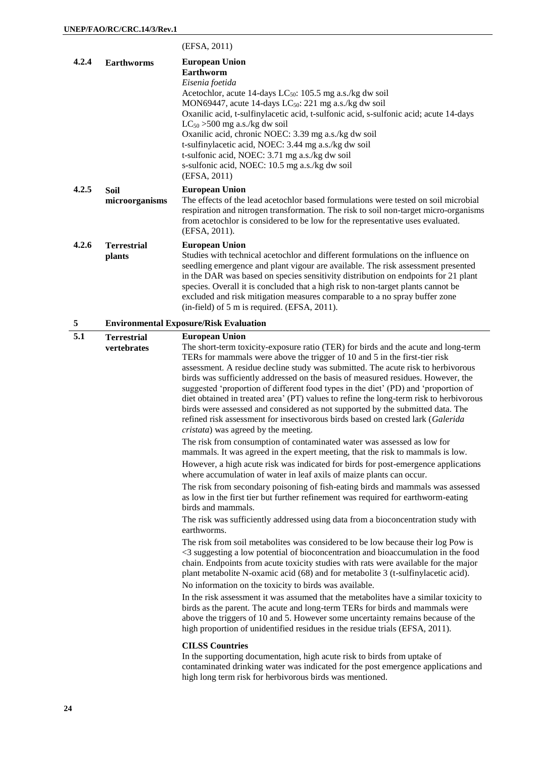|       |                                   | (EFSA, 2011)                                                                                                                                                                                                                                                                                                                                                                                                                                                                                                                                                                                                                                                                                                                                                   |
|-------|-----------------------------------|----------------------------------------------------------------------------------------------------------------------------------------------------------------------------------------------------------------------------------------------------------------------------------------------------------------------------------------------------------------------------------------------------------------------------------------------------------------------------------------------------------------------------------------------------------------------------------------------------------------------------------------------------------------------------------------------------------------------------------------------------------------|
| 4.2.4 | <b>Earthworms</b>                 | <b>European Union</b><br>Earthworm<br>Eisenia foetida<br>Acetochlor, acute 14-days LC <sub>50</sub> : 105.5 mg a.s./kg dw soil<br>MON69447, acute 14-days LC $_{50}$ : 221 mg a.s./kg dw soil<br>Oxanilic acid, t-sulfinylacetic acid, t-sulfonic acid, s-sulfonic acid; acute 14-days<br>$LC_{50}$ > 500 mg a.s./kg dw soil<br>Oxanilic acid, chronic NOEC: 3.39 mg a.s./kg dw soil<br>t-sulfinylacetic acid, NOEC: 3.44 mg a.s./kg dw soil<br>t-sulfonic acid, NOEC: 3.71 mg a.s./kg dw soil<br>s-sulfonic acid, NOEC: 10.5 mg a.s./kg dw soil<br>(EFSA, 2011)                                                                                                                                                                                               |
| 4.2.5 | Soil<br>microorganisms            | <b>European Union</b><br>The effects of the lead acetochlor based formulations were tested on soil microbial<br>respiration and nitrogen transformation. The risk to soil non-target micro-organisms<br>from acetochlor is considered to be low for the representative uses evaluated.<br>(EFSA, 2011).                                                                                                                                                                                                                                                                                                                                                                                                                                                        |
| 4.2.6 | <b>Terrestrial</b><br>plants      | <b>European Union</b><br>Studies with technical acetochlor and different formulations on the influence on<br>seedling emergence and plant vigour are available. The risk assessment presented<br>in the DAR was based on species sensitivity distribution on endpoints for 21 plant<br>species. Overall it is concluded that a high risk to non-target plants cannot be<br>excluded and risk mitigation measures comparable to a no spray buffer zone<br>(in-field) of 5 m is required. (EFSA, 2011).                                                                                                                                                                                                                                                          |
| 5     |                                   | <b>Environmental Exposure/Risk Evaluation</b>                                                                                                                                                                                                                                                                                                                                                                                                                                                                                                                                                                                                                                                                                                                  |
| 5.1   | <b>Terrestrial</b><br>vertebrates | <b>European Union</b><br>The short-term toxicity-exposure ratio (TER) for birds and the acute and long-term<br>TERs for mammals were above the trigger of 10 and 5 in the first-tier risk<br>assessment. A residue decline study was submitted. The acute risk to herbivorous<br>birds was sufficiently addressed on the basis of measured residues. However, the<br>suggested 'proportion of different food types in the diet' (PD) and 'proportion of<br>diet obtained in treated area' (PT) values to refine the long-term risk to herbivorous<br>birds were assessed and considered as not supported by the submitted data. The<br>refined risk assessment for insectivorous birds based on crested lark (Galerida<br>cristata) was agreed by the meeting. |
|       |                                   | The risk from consumption of contaminated water was assessed as low for<br>mammals. It was agreed in the expert meeting, that the risk to mammals is low.                                                                                                                                                                                                                                                                                                                                                                                                                                                                                                                                                                                                      |
|       |                                   | However, a high acute risk was indicated for birds for post-emergence applications<br>where accumulation of water in leaf axils of maize plants can occur.<br>The risk from secondary poisoning of fish-eating birds and mammals was assessed<br>as low in the first tier but further refinement was required for earthworm-eating                                                                                                                                                                                                                                                                                                                                                                                                                             |
|       |                                   | birds and mammals.<br>The risk was sufficiently addressed using data from a bioconcentration study with                                                                                                                                                                                                                                                                                                                                                                                                                                                                                                                                                                                                                                                        |
|       |                                   | earthworms.<br>The risk from soil metabolites was considered to be low because their log Pow is<br><3 suggesting a low potential of bioconcentration and bioaccumulation in the food<br>chain. Endpoints from acute toxicity studies with rats were available for the major<br>plant metabolite N-oxamic acid (68) and for metabolite 3 (t-sulfinylacetic acid).<br>No information on the toxicity to birds was available.                                                                                                                                                                                                                                                                                                                                     |
|       |                                   | In the risk assessment it was assumed that the metabolites have a similar toxicity to<br>birds as the parent. The acute and long-term TERs for birds and mammals were<br>above the triggers of 10 and 5. However some uncertainty remains because of the<br>high proportion of unidentified residues in the residue trials (EFSA, 2011).                                                                                                                                                                                                                                                                                                                                                                                                                       |
|       |                                   | <b>CILSS Countries</b><br>In the supporting documentation, high acute risk to birds from uptake of<br>contaminated drinking water was indicated for the post emergence applications and<br>high long term risk for herbivorous birds was mentioned.                                                                                                                                                                                                                                                                                                                                                                                                                                                                                                            |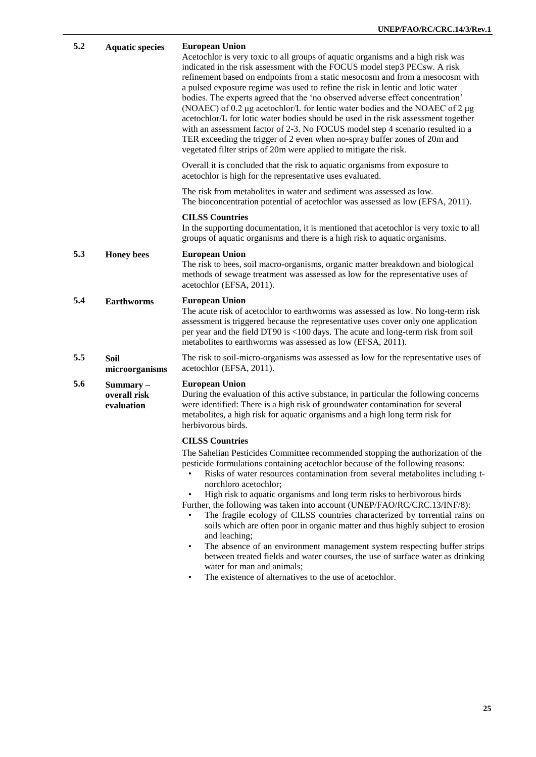| 5.2 | <b>Aquatic species</b>                    | <b>European Union</b><br>Acetochlor is very toxic to all groups of aquatic organisms and a high risk was<br>indicated in the risk assessment with the FOCUS model step3 PECsw. A risk<br>refinement based on endpoints from a static mesocosm and from a mesocosm with<br>a pulsed exposure regime was used to refine the risk in lentic and lotic water<br>bodies. The experts agreed that the 'no observed adverse effect concentration'<br>(NOAEC) of 0.2 µg acetochlor/L for lentic water bodies and the NOAEC of 2 µg<br>acetochlor/L for lotic water bodies should be used in the risk assessment together<br>with an assessment factor of 2-3. No FOCUS model step 4 scenario resulted in a<br>TER exceeding the trigger of 2 even when no-spray buffer zones of 20m and<br>vegetated filter strips of 20m were applied to mitigate the risk. |
|-----|-------------------------------------------|------------------------------------------------------------------------------------------------------------------------------------------------------------------------------------------------------------------------------------------------------------------------------------------------------------------------------------------------------------------------------------------------------------------------------------------------------------------------------------------------------------------------------------------------------------------------------------------------------------------------------------------------------------------------------------------------------------------------------------------------------------------------------------------------------------------------------------------------------|
|     |                                           | Overall it is concluded that the risk to aquatic organisms from exposure to<br>acetochlor is high for the representative uses evaluated.                                                                                                                                                                                                                                                                                                                                                                                                                                                                                                                                                                                                                                                                                                             |
|     |                                           | The risk from metabolites in water and sediment was assessed as low.<br>The bioconcentration potential of acetochlor was assessed as low (EFSA, 2011).                                                                                                                                                                                                                                                                                                                                                                                                                                                                                                                                                                                                                                                                                               |
|     |                                           | <b>CILSS Countries</b><br>In the supporting documentation, it is mentioned that acetochlor is very toxic to all<br>groups of aquatic organisms and there is a high risk to aquatic organisms.                                                                                                                                                                                                                                                                                                                                                                                                                                                                                                                                                                                                                                                        |
| 5.3 | <b>Honey</b> bees                         | <b>European Union</b><br>The risk to bees, soil macro-organisms, organic matter breakdown and biological<br>methods of sewage treatment was assessed as low for the representative uses of<br>acetochlor (EFSA, 2011).                                                                                                                                                                                                                                                                                                                                                                                                                                                                                                                                                                                                                               |
| 5.4 | <b>Earthworms</b>                         | <b>European Union</b><br>The acute risk of acetochlor to earthworms was assessed as low. No long-term risk<br>assessment is triggered because the representative uses cover only one application<br>per year and the field DT90 is <100 days. The acute and long-term risk from soil<br>metabolites to earthworms was assessed as low (EFSA, 2011).                                                                                                                                                                                                                                                                                                                                                                                                                                                                                                  |
| 5.5 | <b>Soil</b><br>microorganisms             | The risk to soil-micro-organisms was assessed as low for the representative uses of<br>acetochlor (EFSA, 2011).                                                                                                                                                                                                                                                                                                                                                                                                                                                                                                                                                                                                                                                                                                                                      |
| 5.6 | $Summary -$<br>overall risk<br>evaluation | <b>European Union</b><br>During the evaluation of this active substance, in particular the following concerns<br>were identified: There is a high risk of groundwater contamination for several<br>metabolites, a high risk for aquatic organisms and a high long term risk for<br>herbivorous birds.                                                                                                                                                                                                                                                                                                                                                                                                                                                                                                                                                |
|     |                                           | <b>CILSS Countries</b>                                                                                                                                                                                                                                                                                                                                                                                                                                                                                                                                                                                                                                                                                                                                                                                                                               |
|     |                                           | The Sahelian Pesticides Committee recommended stopping the authorization of the<br>pesticide formulations containing acetochlor because of the following reasons:<br>Risks of water resources contamination from several metabolites including t-<br>norchloro acetochlor;<br>High risk to aquatic organisms and long term risks to herbivorous birds<br>Further, the following was taken into account (UNEP/FAO/RC/CRC.13/INF/8):<br>The fragile ecology of CILSS countries characterized by torrential rains on                                                                                                                                                                                                                                                                                                                                    |
|     |                                           | soils which are often poor in organic matter and thus highly subject to erosion<br>and leaching;<br>The absence of an environment management system respecting buffer strips<br>$\bullet$<br>between treated fields and water courses, the use of surface water as drinking<br>water for man and animals;                                                                                                                                                                                                                                                                                                                                                                                                                                                                                                                                            |

• The existence of alternatives to the use of acetochlor.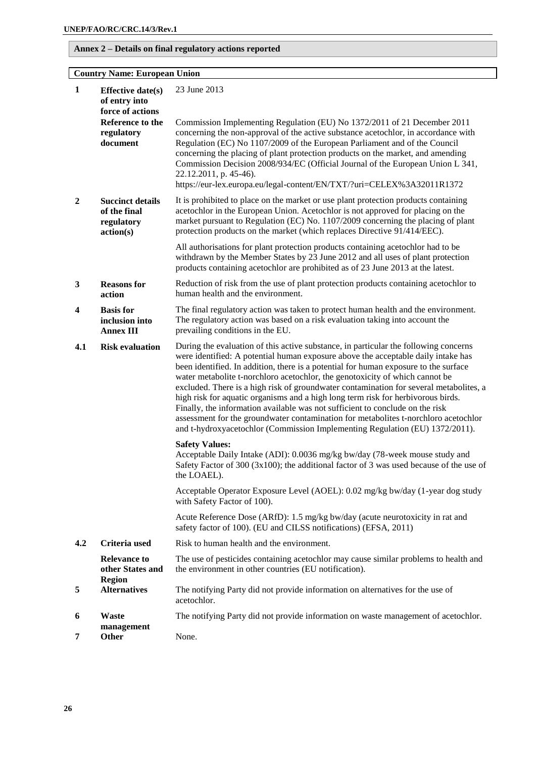#### **Annex 2 – Details on final regulatory actions reported**

#### **Country Name: European Union**

| 1              | <b>Effective date(s)</b><br>of entry into<br>force of actions      | 23 June 2013                                                                                                                                                                                                                                                                                                                                                                                                                                                                                                                                                                                                                                                                                                                                                                            |
|----------------|--------------------------------------------------------------------|-----------------------------------------------------------------------------------------------------------------------------------------------------------------------------------------------------------------------------------------------------------------------------------------------------------------------------------------------------------------------------------------------------------------------------------------------------------------------------------------------------------------------------------------------------------------------------------------------------------------------------------------------------------------------------------------------------------------------------------------------------------------------------------------|
|                | Reference to the<br>regulatory<br>document                         | Commission Implementing Regulation (EU) No 1372/2011 of 21 December 2011<br>concerning the non-approval of the active substance acetochlor, in accordance with<br>Regulation (EC) No 1107/2009 of the European Parliament and of the Council<br>concerning the placing of plant protection products on the market, and amending<br>Commission Decision 2008/934/EC (Official Journal of the European Union L 341,<br>22.12.2011, p. 45-46).<br>https://eur-lex.europa.eu/legal-content/EN/TXT/?uri=CELEX%3A32011R1372                                                                                                                                                                                                                                                                   |
| $\overline{2}$ | <b>Succinct details</b><br>of the final<br>regulatory<br>action(s) | It is prohibited to place on the market or use plant protection products containing<br>acetochlor in the European Union. Acetochlor is not approved for placing on the<br>market pursuant to Regulation (EC) No. 1107/2009 concerning the placing of plant<br>protection products on the market (which replaces Directive 91/414/EEC).                                                                                                                                                                                                                                                                                                                                                                                                                                                  |
|                |                                                                    | All authorisations for plant protection products containing acetochlor had to be<br>withdrawn by the Member States by 23 June 2012 and all uses of plant protection<br>products containing acetochlor are prohibited as of 23 June 2013 at the latest.                                                                                                                                                                                                                                                                                                                                                                                                                                                                                                                                  |
| 3              | <b>Reasons for</b><br>action                                       | Reduction of risk from the use of plant protection products containing acetochlor to<br>human health and the environment.                                                                                                                                                                                                                                                                                                                                                                                                                                                                                                                                                                                                                                                               |
| 4              | <b>Basis</b> for<br>inclusion into<br><b>Annex III</b>             | The final regulatory action was taken to protect human health and the environment.<br>The regulatory action was based on a risk evaluation taking into account the<br>prevailing conditions in the EU.                                                                                                                                                                                                                                                                                                                                                                                                                                                                                                                                                                                  |
| 4.1            | <b>Risk evaluation</b>                                             | During the evaluation of this active substance, in particular the following concerns<br>were identified: A potential human exposure above the acceptable daily intake has<br>been identified. In addition, there is a potential for human exposure to the surface<br>water metabolite t-norchloro acetochlor, the genotoxicity of which cannot be<br>excluded. There is a high risk of groundwater contamination for several metabolites, a<br>high risk for aquatic organisms and a high long term risk for herbivorous birds.<br>Finally, the information available was not sufficient to conclude on the risk<br>assessment for the groundwater contamination for metabolites t-norchloro acetochlor<br>and t-hydroxyacetochlor (Commission Implementing Regulation (EU) 1372/2011). |
|                |                                                                    | <b>Safety Values:</b><br>Acceptable Daily Intake (ADI): 0.0036 mg/kg bw/day (78-week mouse study and<br>Safety Factor of 300 (3x100); the additional factor of 3 was used because of the use of<br>the LOAEL).                                                                                                                                                                                                                                                                                                                                                                                                                                                                                                                                                                          |
|                |                                                                    | Acceptable Operator Exposure Level (AOEL): 0.02 mg/kg bw/day (1-year dog study<br>with Safety Factor of 100).                                                                                                                                                                                                                                                                                                                                                                                                                                                                                                                                                                                                                                                                           |
|                |                                                                    | Acute Reference Dose (ARfD): 1.5 mg/kg bw/day (acute neurotoxicity in rat and<br>safety factor of 100). (EU and CILSS notifications) (EFSA, 2011)                                                                                                                                                                                                                                                                                                                                                                                                                                                                                                                                                                                                                                       |
| 4.2            | Criteria used                                                      | Risk to human health and the environment.                                                                                                                                                                                                                                                                                                                                                                                                                                                                                                                                                                                                                                                                                                                                               |
|                | <b>Relevance to</b><br>other States and<br><b>Region</b>           | The use of pesticides containing acetochlor may cause similar problems to health and<br>the environment in other countries (EU notification).                                                                                                                                                                                                                                                                                                                                                                                                                                                                                                                                                                                                                                           |
| 5              | <b>Alternatives</b>                                                | The notifying Party did not provide information on alternatives for the use of<br>acetochlor.                                                                                                                                                                                                                                                                                                                                                                                                                                                                                                                                                                                                                                                                                           |
| 6              | <b>Waste</b>                                                       | The notifying Party did not provide information on waste management of acetochlor.                                                                                                                                                                                                                                                                                                                                                                                                                                                                                                                                                                                                                                                                                                      |
| 7              | management<br>Other                                                | None.                                                                                                                                                                                                                                                                                                                                                                                                                                                                                                                                                                                                                                                                                                                                                                                   |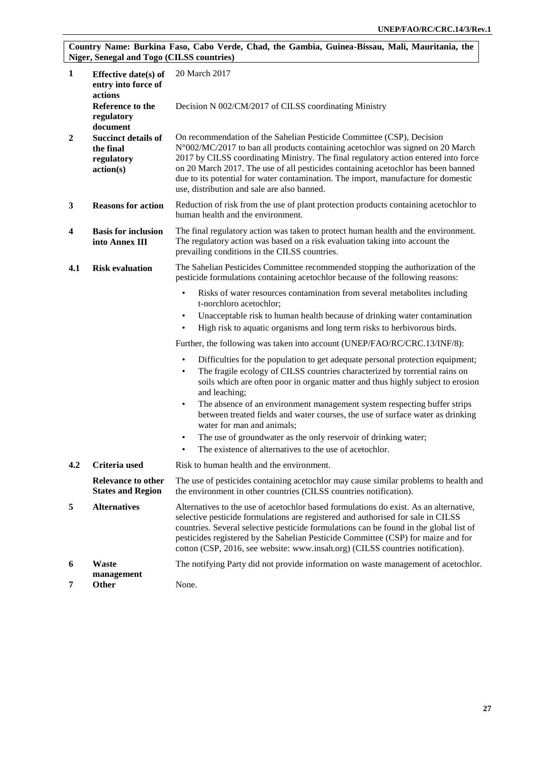#### **Country Name: Burkina Faso, Cabo Verde, Chad, the Gambia, Guinea-Bissau, Mali, Mauritania, the Niger, Senegal and Togo (CILSS countries)**

| $\mathbf{1}$   | Effective date(s) of<br>entry into force of<br>actions             | 20 March 2017                                                                                                                                                                                                                                                                                                                                                                                                                                                            |  |
|----------------|--------------------------------------------------------------------|--------------------------------------------------------------------------------------------------------------------------------------------------------------------------------------------------------------------------------------------------------------------------------------------------------------------------------------------------------------------------------------------------------------------------------------------------------------------------|--|
|                | Reference to the<br>regulatory<br>document                         | Decision N 002/CM/2017 of CILSS coordinating Ministry                                                                                                                                                                                                                                                                                                                                                                                                                    |  |
| $\overline{2}$ | <b>Succinct details of</b><br>the final<br>regulatory<br>action(s) | On recommendation of the Sahelian Pesticide Committee (CSP), Decision<br>N°002/MC/2017 to ban all products containing acetochlor was signed on 20 March<br>2017 by CILSS coordinating Ministry. The final regulatory action entered into force<br>on 20 March 2017. The use of all pesticides containing acetochlor has been banned<br>due to its potential for water contamination. The import, manufacture for domestic<br>use, distribution and sale are also banned. |  |
| 3              | <b>Reasons for action</b>                                          | Reduction of risk from the use of plant protection products containing acetochlor to<br>human health and the environment.                                                                                                                                                                                                                                                                                                                                                |  |
| 4              | <b>Basis for inclusion</b><br>into Annex III                       | The final regulatory action was taken to protect human health and the environment.<br>The regulatory action was based on a risk evaluation taking into account the<br>prevailing conditions in the CILSS countries.                                                                                                                                                                                                                                                      |  |
| 4.1            | <b>Risk evaluation</b>                                             | The Sahelian Pesticides Committee recommended stopping the authorization of the<br>pesticide formulations containing acetochlor because of the following reasons:                                                                                                                                                                                                                                                                                                        |  |
|                |                                                                    | Risks of water resources contamination from several metabolites including<br>$\bullet$<br>t-norchloro acetochlor;<br>Unacceptable risk to human health because of drinking water contamination<br>$\bullet$                                                                                                                                                                                                                                                              |  |
|                |                                                                    | High risk to aquatic organisms and long term risks to herbivorous birds.<br>$\bullet$                                                                                                                                                                                                                                                                                                                                                                                    |  |
|                |                                                                    | Further, the following was taken into account (UNEP/FAO/RC/CRC.13/INF/8):                                                                                                                                                                                                                                                                                                                                                                                                |  |
|                |                                                                    | Difficulties for the population to get adequate personal protection equipment;<br>$\bullet$<br>The fragile ecology of CILSS countries characterized by torrential rains on<br>٠<br>soils which are often poor in organic matter and thus highly subject to erosion<br>and leaching;                                                                                                                                                                                      |  |
|                |                                                                    | The absence of an environment management system respecting buffer strips<br>$\bullet$<br>between treated fields and water courses, the use of surface water as drinking<br>water for man and animals;                                                                                                                                                                                                                                                                    |  |
|                |                                                                    | The use of groundwater as the only reservoir of drinking water;<br>$\bullet$                                                                                                                                                                                                                                                                                                                                                                                             |  |
|                |                                                                    | The existence of alternatives to the use of acetochlor.<br>$\bullet$                                                                                                                                                                                                                                                                                                                                                                                                     |  |
| 4.2            | Criteria used                                                      | Risk to human health and the environment.                                                                                                                                                                                                                                                                                                                                                                                                                                |  |
|                | <b>Relevance to other</b><br><b>States and Region</b>              | The use of pesticides containing acetochlor may cause similar problems to health and<br>the environment in other countries (CILSS countries notification).                                                                                                                                                                                                                                                                                                               |  |
| 5              | <b>Alternatives</b>                                                | Alternatives to the use of acetochlor based formulations do exist. As an alternative,<br>selective pesticide formulations are registered and authorised for sale in CILSS<br>countries. Several selective pesticide formulations can be found in the global list of<br>pesticides registered by the Sahelian Pesticide Committee (CSP) for maize and for<br>cotton (CSP, 2016, see website: www.insah.org) (CILSS countries notification).                               |  |
| 6              | <b>Waste</b>                                                       | The notifying Party did not provide information on waste management of acetochlor.                                                                                                                                                                                                                                                                                                                                                                                       |  |
| 7              | management<br><b>Other</b>                                         | None.                                                                                                                                                                                                                                                                                                                                                                                                                                                                    |  |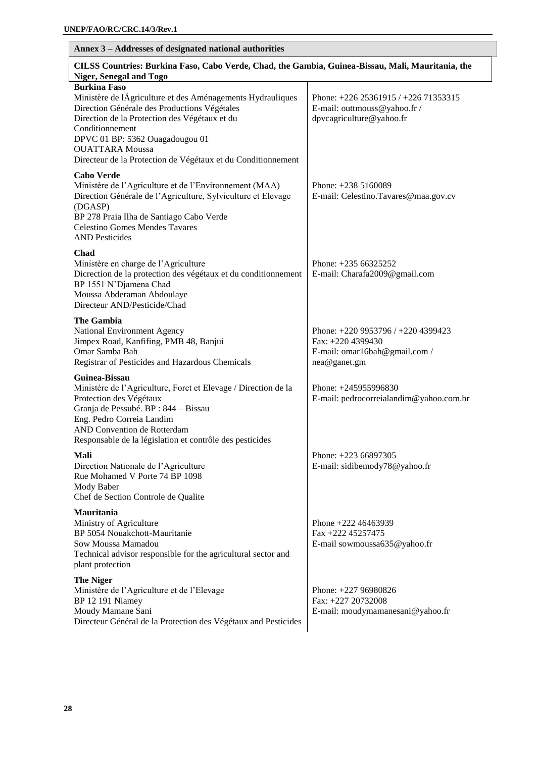| Annex 3 - Addresses of designated national authorities                                                                                                                                                                                                                                                                             |                                                                                                          |  |
|------------------------------------------------------------------------------------------------------------------------------------------------------------------------------------------------------------------------------------------------------------------------------------------------------------------------------------|----------------------------------------------------------------------------------------------------------|--|
| CILSS Countries: Burkina Faso, Cabo Verde, Chad, the Gambia, Guinea-Bissau, Mali, Mauritania, the<br>Niger, Senegal and Togo                                                                                                                                                                                                       |                                                                                                          |  |
| <b>Burkina Faso</b><br>Ministère de lÁgriculture et des Aménagements Hydrauliques<br>Direction Générale des Productions Végétales<br>Direction de la Protection des Végétaux et du<br>Conditionnement<br>DPVC 01 BP: 5362 Ouagadougou 01<br><b>OUATTARA</b> Moussa<br>Directeur de la Protection de Végétaux et du Conditionnement | Phone: $+226\,25361915$ / $+226\,71353315$<br>E-mail: outtmouss@yahoo.fr /<br>dpvcagriculture@yahoo.fr   |  |
| <b>Cabo Verde</b><br>Ministère de l'Agriculture et de l'Environnement (MAA)<br>Direction Générale de l'Agriculture, Sylviculture et Elevage<br>(DGASP)<br>BP 278 Praia Ilha de Santiago Cabo Verde<br><b>Celestino Gomes Mendes Tavares</b><br><b>AND Pesticides</b>                                                               | Phone: $+2385160089$<br>E-mail: Celestino.Tavares@maa.gov.cv                                             |  |
| <b>Chad</b><br>Ministère en charge de l'Agriculture<br>Dicrection de la protection des végétaux et du conditionnement<br>BP 1551 N'Djamena Chad<br>Moussa Abderaman Abdoulaye<br>Directeur AND/Pesticide/Chad                                                                                                                      | Phone: $+23566325252$<br>E-mail: Charafa2009@gmail.com                                                   |  |
| <b>The Gambia</b><br>National Environment Agency<br>Jimpex Road, Kanfifing, PMB 48, Banjui<br>Omar Samba Bah<br>Registrar of Pesticides and Hazardous Chemicals                                                                                                                                                                    | Phone: +220 9953796 / +220 4399423<br>Fax: +220 4399430<br>E-mail: omar16bah@gmail.com /<br>nea@ganet.gm |  |
| Guinea-Bissau<br>Ministère de l'Agriculture, Foret et Elevage / Direction de la<br>Protection des Végétaux<br>Granja de Pessubé. BP : 844 - Bissau<br>Eng. Pedro Correia Landim<br>AND Convention de Rotterdam<br>Responsable de la législation et contrôle des pesticides                                                         | Phone: +245955996830<br>E-mail: pedrocorreialandim@yahoo.com.br                                          |  |
| Mali<br>Direction Nationale de l'Agriculture<br>Rue Mohamed V Porte 74 BP 1098<br>Mody Baber<br>Chef de Section Controle de Qualite                                                                                                                                                                                                | Phone: $+22366897305$<br>E-mail: sidibemody78@yahoo.fr                                                   |  |
| Mauritania<br>Ministry of Agriculture<br>BP 5054 Nouakchott-Mauritanie<br>Sow Moussa Mamadou<br>Technical advisor responsible for the agricultural sector and<br>plant protection                                                                                                                                                  | Phone $+222$ 46463939<br>Fax +222 45257475<br>E-mail sowmoussa635@yahoo.fr                               |  |
| <b>The Niger</b><br>Ministère de l'Agriculture et de l'Elevage<br>BP 12 191 Niamey<br>Moudy Mamane Sani<br>Directeur Général de la Protection des Végétaux and Pesticides                                                                                                                                                          | Phone: +227 96980826<br>Fax: +227 20732008<br>E-mail: moudymamanesani@yahoo.fr                           |  |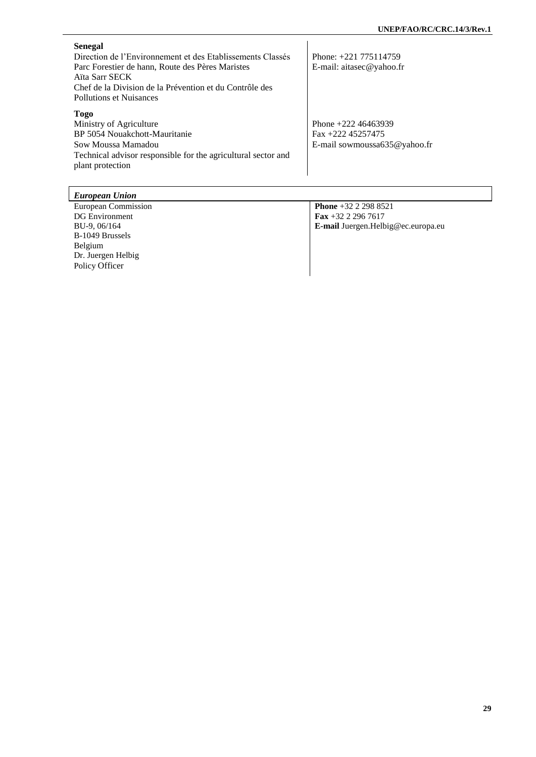| Senegal<br>Direction de l'Environnement et des Etablissements Classés<br>Parc Forestier de hann, Route des Pères Maristes<br>Aïta Sarr SECK<br>Chef de la Division de la Prévention et du Contrôle des<br>Pollutions et Nuisances | Phone: $+221$ 775114759<br>E-mail: aitasec@yahoo.fr                          |
|-----------------------------------------------------------------------------------------------------------------------------------------------------------------------------------------------------------------------------------|------------------------------------------------------------------------------|
| <b>Togo</b><br>Ministry of Agriculture<br>BP 5054 Nouakchott-Mauritanie<br>Sow Moussa Mamadou<br>Technical advisor responsible for the agricultural sector and<br>plant protection                                                | Phone $+222$ 46463939<br>$Fax + 22245257475$<br>E-mail sowmoussa635@yahoo.fr |

| European Union        |                                    |
|-----------------------|------------------------------------|
| European Commission   | <b>Phone</b> +32 2 298 8521        |
| <b>DG</b> Environment | Fax +32 2 296 7617                 |
| BU-9, 06/164          | E-mail Juergen.Helbig@ec.europa.eu |
| B-1049 Brussels       |                                    |
| Belgium               |                                    |
| Dr. Juergen Helbig    |                                    |
| Policy Officer        |                                    |
|                       |                                    |